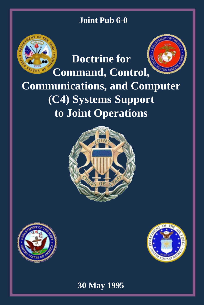**[Joint Pub 6-0](#page-4-0)**





**Command, Control, Communications, and Computer (C4) Systems Support to Joint Operations**







# **30 May 1995**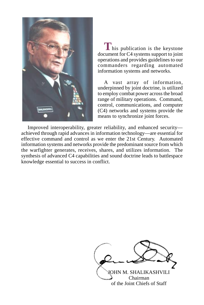

**T**his publication is the keystone document for C4 systems support to joint operations and provides guidelines to our commanders regarding automated information systems and networks.

A vast array of information, underpinned by joint doctrine, is utilized to employ combat power across the broad range of military operations. Command, control, communications, and computer (C4) networks and systems provide the means to synchronize joint forces.

Improved interoperability, greater reliability, and enhanced security achieved through rapid advances in information technology—are essential for effective command and control as we enter the 21st Century. Automated information systems and networks provide the predominant source from which the warfighter generates, receives, shares, and utilizes information. The synthesis of advanced C4 capabilities and sound doctrine leads to battlespace knowledge essential to success in conflict.

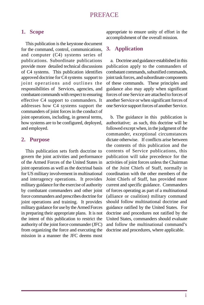# **PREFACE**

## **1. Scope**

This publication is the keystone document for the command, control, communications, and computer (C4) systems series of publications. Subordinate publications provide more detailed technical discussions of C4 systems. This publication identifies approved doctrine for C4 systems support to joint operations and outlines the responsibilities of Services, agencies, and combatant commands with respect to ensuring effective C4 support to commanders. It addresses how C4 systems support the commanders of joint forces in the conduct of joint operations, including, in general terms, how systems are to be configured, deployed, and employed.

## **2. Purpose**

This publication sets forth doctrine to govern the joint activities and performance of the Armed Forces of the United States in joint operations as well as the doctrinal basis for US military involvement in multinational and interagency operations. It provides military guidance for the exercise of authority by combatant commanders and other joint force commanders and prescribes doctrine for joint operations and training. It provides military guidance for use by the Armed Forces in preparing their appropriate plans. It is not the intent of this publication to restrict the authority of the joint force commander (JFC) from organizing the force and executing the mission in a manner the JFC deems most

appropriate to ensure unity of effort in the accomplishment of the overall mission.

### **3. Application**

a. Doctrine and guidance established in this publication apply to the commanders of combatant commands, subunified commands, joint task forces, and subordinate components of these commands. These principles and guidance also may apply when significant forces of one Service are attached to forces of another Service or when significant forces of one Service support forces of another Service.

b. The guidance in this publication is authoritative; as such, this doctrine will be followed except when, in the judgment of the commander, exceptional circumstances dictate otherwise. If conflicts arise between the contents of this publication and the contents of Service publications, this publication will take precedence for the activities of joint forces unless the Chairman of the Joint Chiefs of Staff, normally in coordination with the other members of the Joint Chiefs of Staff, has provided more current and specific guidance. Commanders of forces operating as part of a multinational (alliance or coalition) military command should follow multinational doctrine and guidance ratified by the United States. For doctrine and procedures not ratified by the United States, commanders should evaluate and follow the multinational command's doctrine and procedures, where applicable.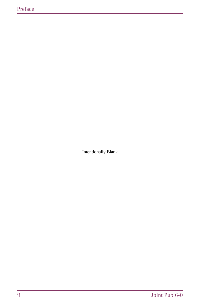Intentionally Blank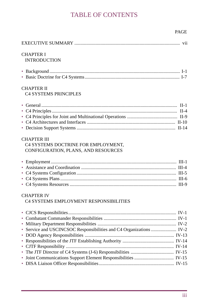# TABLE OF CONTENTS

## PAGE

<span id="page-4-0"></span>

| <b>CHAPTER I</b><br><b>INTRODUCTION</b>                                                          |
|--------------------------------------------------------------------------------------------------|
|                                                                                                  |
| <b>CHAPTER II</b><br><b>C4 SYSTEMS PRINCIPLES</b>                                                |
|                                                                                                  |
| <b>CHAPTER III</b><br>C4 SYSTEMS DOCTRINE FOR EMPLOYMENT,<br>CONFIGURATION, PLANS, AND RESOURCES |
|                                                                                                  |
| <b>CHAPTER IV</b><br>C4 SYSTEMS EMPLOYMENT RESPONSIBILITIES                                      |
| • Service and USCINCSOC Responsibilities and C4 Organizations  IV-2                              |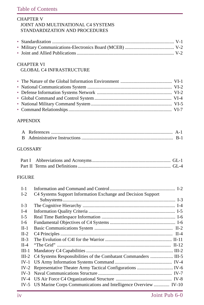## CHAPTER V JOINT AND MULTINATIONAL C4 SYSTEMS STANDARDIZATION AND PROCEDURES

## CHAPTER VI

| <b>GLOBAL C4 INFRASTRUCTURE</b> |  |
|---------------------------------|--|

## APPENDIX

## GLOSSARY

### FIGURE

| $I-1$   |                                                                 |  |
|---------|-----------------------------------------------------------------|--|
| $I-2$   | C4 Systems Support Information Exchange and Decision Support    |  |
|         |                                                                 |  |
| $I-3$   |                                                                 |  |
| $I-4$   |                                                                 |  |
| $I-5$   |                                                                 |  |
| $I-6$   |                                                                 |  |
| $II-1$  |                                                                 |  |
| $II-2$  |                                                                 |  |
| $II-3$  |                                                                 |  |
| $II-4$  |                                                                 |  |
| $III-1$ |                                                                 |  |
| $III-2$ | C4 Systems Responsibilities of the Combatant Commanders  III-5  |  |
| $IV-1$  |                                                                 |  |
| $IV-2$  |                                                                 |  |
| $IV-3$  |                                                                 |  |
| IV-4    |                                                                 |  |
| IV-5    | US Marine Corps Communications and Intelligence Overview  IV-10 |  |
|         |                                                                 |  |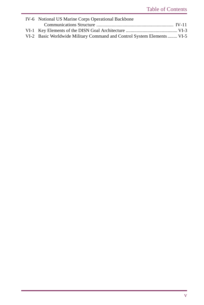| IV-6 Notional US Marine Corps Operational Backbone                      |  |
|-------------------------------------------------------------------------|--|
|                                                                         |  |
|                                                                         |  |
| VI-2 Basic Worldwide Military Command and Control System Elements  VI-5 |  |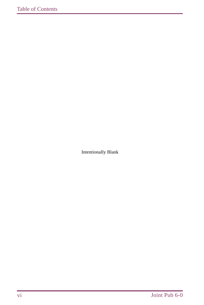Intentionally Blank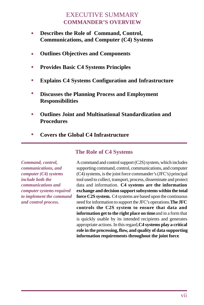# EXECUTIVE SUMMARY **COMMANDER'S OVERVIEW**

- <span id="page-8-0"></span>**Describes the Role of Command, Control, Communications, and Computer (C4) Systems •**
- **Outlines Objectives and Components •**
- **Provides Basic C4 Systems Principles •**
- **Explains C4 Systems Configuration and Infrastructure •**
- **Discusses the Planning Process and Employment Responsibilities •**
- **Outlines Joint and Multinational Standardization and Procedures •**
- **Covers the Global C4 Infrastructure •**

## **The Role of C4 Systems**

*Command, control, communications, and computer (C4) systems include both the communications and computer systems required to implement the command and control process.*

A command and control support (C2S) system, which includes supporting command, control, communications, and computer (C4) systems, is the joint force commander's (JFC's) principal tool used to collect, transport, process, disseminate and protect data and information. **C4 systems are the information exchange and decision support subsystems within the total force C2S system.** C4 systems are based upon the continuous need for information to support the JFC's operations. **The JFC controls the C2S system to ensure that data and information get to the right place on time** and in a form that is quickly usable by its intended recipients and generates appropriate actions. In this regard, **C4 systems play a critical role in the processing, flow, and quality of data supporting information requirements throughout the joint force**.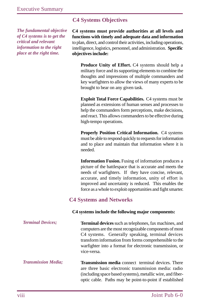*The fundamental objective of C4 systems is to get the critical and relevant information to the right place at the right time.*

# **C4 Systems Objectives**

**C4 systems must provide authorities at all levels and functions with timely and adequate data and information** to plan, direct, and control their activities, including operations, intelligence, logistics, personnel, and administration. **Specific objectives include:**

**Produce Unity of Effort.** C4 systems should help a military force and its supporting elements to combine the thoughts and impressions of multiple commanders and key warfighters to allow the views of many experts to be brought to bear on any given task.

**Exploit Total Force Capabilities.** C4 systems must be planned as extensions of human senses and processes to help the commanders form perceptions, make decisions, and react. This allows commanders to be effective during high-tempo operations.

**Properly Position Critical Information.** C4 systems must be able to respond quickly to requests for information and to place and maintain that information where it is needed.

**Information Fusion.** Fusing of information produces a picture of the battlespace that is accurate and meets the needs of warfighters. If they have concise, relevant, accurate, and timely information, unity of effort is improved and uncertainty is reduced. This enables the force as a whole to exploit opportunities and fight smarter.

# **C4 Systems and Networks**

#### **C4 systems include the following major components:**

**Terminal devices** such as telephones, fax machines, and computers are the most recognizable components of most C4 systems. Generally speaking, terminal devices transform information from forms comprehensible to the warfighter into a format for electronic transmission, or vice-versa.  *Terminal Devices;*

**Transmission media** connect terminal devices. There are three basic electronic transmission media: radio (including space based systems), metallic wire, and fiberoptic cable. Paths may be point-to-point if established  *Transmission Media;*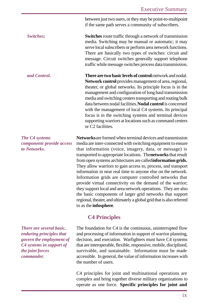between just two users, or they may be point-to-multipoint if the same path serves a community of subscribers.

 *Switches;* **Switches** route traffic through a network of transmission media. Switching may be manual or automatic; it may serve local subscribers or perform area network functions. There are basically two types of switches: circuit and message. Circuit switches generally support telephone traffic while message switches process data transmission.

 *and Control.* **There are two basic levels of control:** network and nodal. **Network control** provides management of area, regional, theater, or global networks. Its principle focus is in the management and configuration of long haul transmission media and switching centers transporting and routing bulk data between nodal facilities. **Nodal control** is concerned with the management of local C4 systems. Its principal focus is in the switching systems and terminal devices supporting warriors at locations such as command centers or C2 facilities.

*The C4 systems components provide access to Networks.*

**Networks** are formed when terminal devices and transmission media are inter-connected with switching equipment to ensure that information (voice, imagery, data, or message) is transported to appropriate locations. The **networks** that result from open systems architectures are called **information grids.** They allow warriors to gain access to, process, and transport information in near real time to anyone else on the network. Information grids are computer controlled networks that provide virtual connectivity on the demand of the warrior; they support local and area network operations. They are also the basic components of larger grid networks that support regional, theater, and ultimately a global grid that is also referred to as the **infosphere**.

# **C4 Principles**

The foundation for C4 is the continuous, uninterrupted flow and processing of information in support of warrior planning, decision, and execution. Warfighters must have C4 systems that are interoperable, flexible, responsive, mobile, disciplined, survivable, and sustainable. Information must be made accessible. In general, the value of information increases with the number of users.

C4 principles for joint and multinational operations are complex and bring together diverse military organizations to operate as one force. **Specific principles for joint and**

*There are several basic, enduring principles that govern the employment of C4 systems in support of the joint forces commander.*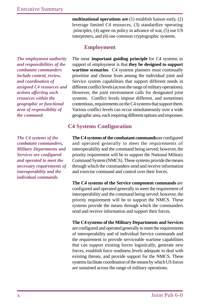**multinational operations are** (1) establish liaison early, (2) leverage limited C4 resources, (3) standardize operating principles, (4) agree on policy in advance of war, (5) use US interpreters, and (6) use common cryptographic systems.

# **Employment**

*The employment authority and responsibilities of the combatant commanders include control, review, and coordination of assigned C4 resources and actions affecting such resources within the geographic or functional area of responsibility of the command.*

*The C4 systems of the combatant commanders, Military Departments and Services are configured and operated to meet the necessary requirements of interoperability and the individual commands.*

The most **important guiding principle** for C4 systems in support of employment is that **they be designed to support wartime scenarios**. C4 systems planners must continually prioritize and choose from among the individual joint and Service system capabilities that support different needs in different conflict levels (across the range of military operations). However, the joint environment calls for designated joint systems. Conflict levels impose different, and sometimes contentious, requirements on the C4 systems that support them. Various conflict levels can occur simultaneously over a wide geographic area, each requiring different options and responses.

# **C4 Systems Configuration**

**The C4 systems of the combatant commands** are configured and operated generally to meet the requirements of interoperability and the command being served; however, the priority requirement will be to support the National Military Command System (NMCS). These systems provide the means through which the commanders send and receive information and exercise command and control over their forces.

**The C4 systems of the Service component commands** are configured and operated generally to meet the requirement of interoperability and the command being served; however, the priority requirement will be to support the NMCS. These systems provide the means through which the commanders send and receive information and support their forces.

**The C4 systems of the Military Departments and Services** are configured and operated generally to meet the requirements of interoperability and of individual Service commands and the requirement to provide serviceable wartime capabilities that can support existing forces logistically, generate new forces, establish force readiness levels adequate to deal with existing threats, and provide support for the NMCS. These systems facilitate coordination of the means by which US forces are sustained across the range of military operations.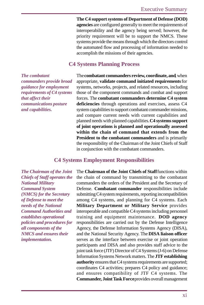**The C4 support systems of Department of Defense (DOD) agencies** are configured generally to meet the requirements of interoperability and the agency being served; however, the priority requirement will be to support the NMCS. These systems provide the means through which the directors control the automated flow and processing of information needed to accomplish the missions of their agencies.

## **C4 Systems Planning Process**

*The combatant commanders provide broad guidance for employment requirements of C4 systems that affect their communications posture and capabilities.*

The **combatant commanders review, coordinate, and**, when appropriate, **validate command initiated requirements** for systems, networks, projects, and related resources, including those of the component commands and combat and support forces. The **combatant commanders determine C4 system deficiencies** through operations and exercises, assess C4 system capabilities to support combatant commander missions, and compare current needs with current capabilities and planned needs with planned capabilities. **C4 systems support of joint operations is planned and operationally assessed within the chain of command that extends from the President to the combatant commanders** and is primarily the responsibility of the Chairman of the Joint Chiefs of Staff in conjunction with the combatant commanders.

## **C4 Systems Employment Responsibilities**

*The Chairman of the Joint Chiefs of Staff operates the National Military Command System (NMCS) for the Secretary of Defense to meet the needs of the National Command Authorities and establishes operational policies and procedures for all components of the NMCS and ensures their implementation.*

The **Chairman of the Joint Chiefs of Staff** functions within the chain of command by transmitting to the combatant commanders the orders of the President and the Secretary of Defense. **Combatant commander** responsibilities include submitting C4 system requirements, reporting incompatibilities among C4 systems, and planning for C4 systems. Each **Military Department or Military Service** provides interoperable and compatible C4 systems including personnel training and equipment maintenance. **DOD agency** responsibilities are carried out by the Defense Intelligence Agency, the Defense Information Systems Agency (DISA), and the National Security Agency. The **DISA liaison officer** serves as the interface between exercise or joint operation participants and DISA and also provides staff advice to the joint task force (JTF) Director of C4 Systems (J-6) on Defense Information Systems Network matters. The **JTF establishing authority** ensures that C4 systems requirements are supported; coordinates C4 activities; prepares C4 policy and guidance; and ensures compatibility of JTF C4 systems. The **Commander, Joint Task Force provides overall management**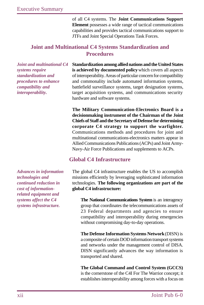of all C4 systems. The **Joint Communications Support Element** possesses a wide range of tactical communications capabilities and provides tactical communications support to JTFs and Joint Special Operations Task Forces.

# **Joint and Multinational C4 Systems Standardization and Procedures**

*Joint and multinational C4 systems require standardization and procedures to enhance compatibility and interoperability.*

**Standardization among allied nations and the United States is achieved by documented policy** which covers all aspects of interoperability. Areas of particular concern for compatibility and commonality include automated information systems, battlefield surveillance systems, target designation systems, target acquisition systems, and communications security hardware and software systems.

**The Military Communication-Electronics Board is a decisionmaking instrument of the Chairman of the Joint Chiefs of Staff and the Secretary of Defense for determining corporate C4 strategy to support the warfighter.** Communications methods and procedures for joint and multinational communications-electronics matters appear in Allied Communications Publications (ACPs) and Joint Army-Navy-Air Force Publications and supplements to ACPs.

# **Global C4 Infrastructure**

The global C4 infrastructure enables the US to accomplish missions efficiently by leveraging sophisticated information technologies. **The following organizations are part of the global C4 infrastructure:**

**The National Communications System** is an interagency group that coordinates the telecommunications assets of 23 Federal departments and agencies to ensure compatibility and interoperability during emergencies without compromising day-to-day operations.

**The Defense Information Systems Network** (DISN) is a composite of certain DOD information transport systems and networks under the management control of DISA. DISN significantly advances the way information is transported and shared.

**The Global Command and Control System (GCCS)** is the cornerstone of the C4I For The Warrior concept; it establishes interoperability among forces with a focus on

*Advances in information technologies and continued reduction in cost of informationrelated equipment and systems affect the C4 systems infrastructure.*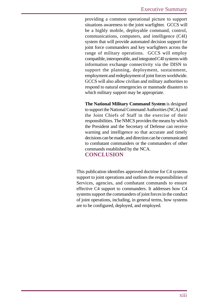providing a common operational picture to support situations awareness to the joint warfighter. GCCS will be a highly mobile, deployable command, control, communications, computers, and intelligence (C4I) system that will provide automated decision support for joint force commanders and key warfighters across the range of military operations. GCCS will employ compatible, interoperable, and integrated C4I systems with information exchange connectivity via the DISN to support the planning, deployment, sustainment, employment and redeployment of joint forces worldwide. GCCS will also allow civilian and military authorities to respond to natural emergencies or manmade disasters to which military support may be appropriate.

**The National Military Command System** is designed to support the National Command Authorities (NCA) and the Joint Chiefs of Staff in the exercise of their responsibilities. The NMCS provides the means by which the President and the Secretary of Defense can receive warning and intelligence so that accurate and timely decisions can be made, and direction can be communicated to combatant commanders or the commanders of other commands established by the NCA. **CONCLUSION**

This publication identifies approved doctrine for C4 systems support to joint operations and outlines the responsibilities of Services, agencies, and combatant commands to ensure effective C4 support to commanders. It addresses how C4 systems support the commanders of joint forces in the conduct of joint operations, including, in general terms, how systems are to be configured, deployed, and employed.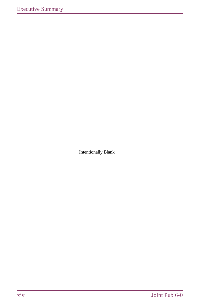Intentionally Blank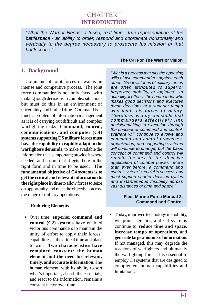# CHAPTER I **INTRODUCTION**

<span id="page-16-0"></span>"What the Warrior Needs: a fused, real time, true representation of the battlespace - an ability to order, respond and coordinate horizontally and vertically to the degree necessary to prosecute his mission in that battlespace."

## **1. Background**

Command of joint forces in war is an intense and competitive process. The joint force commander is not only faced with making tough decisions in complex situations but must do this in an environment of uncertainty and limited time. Command is as much a problem of information management as it is of carrying out difficult and complex warfighting tasks. **Command, control, communications, and computer (C4) systems supporting US military forces must have the capability to rapidly adapt to the warfighters demands;** to make available the information that is important; provide it where needed; and ensure that it gets there in the right form and in time to be used. **The fundamental objective of C4 systems is to get the critical and relevant information to the right place in time** to allow forces to seize on opportunity and meet the objectives across the range of military operations.

#### a. **Enduring Elements**

**•** Over time, **superior command and control (C2) systems** have enabled victorious commanders to maintain the unity of effort to apply their forces' capabilities at the critical time and place to win. **Two characteristics have remained constant: the human element and the need for relevant, timely, and accurate information.** The human element, with its ability to sort what's important, absorb the essentials, and react to the information, remains a constant factor over time.

#### **The C4I For The Warrior vision**

"War is a process that pits the opposing wills of two commanders against each other. Great victories of military forces are often attributed to superior firepower, mobility, or logistics. In actuality, it often is the commander who makes good decisions and executes these decisions at a superior tempo who leads his forces to victory. Therefore, victory demands that commanders effectively link decisionmaking to execution through the concept of command and control. Warfare will continue to evolve and command and control processes, organization, and supporting systems will continue to change, but the basic concept of command and control will remain the key to the decisive application of combat power. More than ever before, a command and control system is crucial to success and must support shorter decision cycles and instantaneous flexibility across vast distances of time and space."

#### **Fleet Marine Force Manual 3, Command and Control**

• Today, improved technology in mobility, weapons, sensors, and C4 systems continue to **reduce time and space**, **increase tempo of operations**, and **generate large amounts of information**. If not managed, this may degrade the reactions of warfighters and ultimately the warfighting force. It is essential to employ C4 systems that are designed to complement human capabilities and limitations.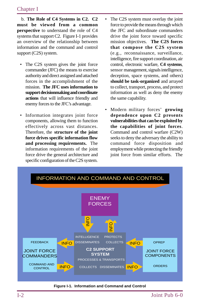<span id="page-17-0"></span>b. **The Role of C4 Systems in C2. C2 must be viewed from a common perspective** to understand the role of C4 systems that support C2. Figure I-1 provides an overview of the relationship between information and the command and control support (C2S) system.

- The C2S system gives the joint force commander (JFC) the means to exercise authority and direct assigned and attached forces in the accomplishment of the mission. **The JFC uses information to support decisionmaking and coordinate actions** that will influence friendly and enemy forces to the JFC's advantage.
- Information integrates joint force components, allowing them to function effectively across vast distances. Therefore, the **structure of the joint force drives specific information flow and processing requirements.** The information requirements of the joint force drive the general architecture and specific configuration of the C2S system.
- The C2S system must overlay the joint force to provide the means through which the JFC and subordinate commanders drive the joint force toward specific mission objectives. **The C2S forces that compose the C2S system** (e.g., reconnaissance, surveillance, intelligence, fire support coordination, air control, electronic warfare, **C4 systems**, sensor management, signals intelligence, deception, space systems, and others) **should be task-organized** and arrayed to collect, transport, process, and protect information as well as deny the enemy the same capability.
- Modern military forces' **growing dependence upon C2 presents vulnerabilities that can be exploited by the capabilities of joint forces**. Command and control warfare (C2W) seeks to deny the adversary the ability to command force disposition and employment while protecting the friendly joint force from similar efforts. The



**Figure I-1. Information and Command and Control**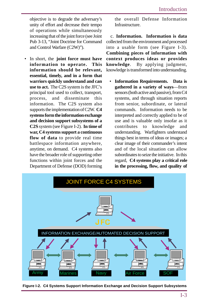<span id="page-18-0"></span>objective is to degrade the adversary's unity of effort and decrease their tempo of operations while simultaneously increasing that of the joint force (see Joint Pub 3-13, "Joint Doctrine for Command and Control Warfare (C2W)").

• In short, the **joint force must have information to operate. This information should be relevant, essential, timely, and in a form that warriors quickly understand and can use to act.** The C2S system is the JFC's principal tool used to collect, transport, process, and disseminate this information. The C2S system also supports the implementation of C2W. **C4 systems form the information exchange and decision support subsystems of a C2S** system (see Figure I-2). **In time of war, C4 systems support a continuous flow of data** to provide real time battlespace information anywhere, anytime, on demand. C4 systems also have the broader role of supporting other functions within joint forces and the Department of Defense (DOD) forming the overall Defense Information Infrastructure.

c. **Information. Information is data** collected from the environment and processed into a usable form (see Figure I-3). **Combining pieces of information with context produces ideas or provides knowledge**. By applying judgment, knowledge is transformed into understanding.

• **Information Requirements. Data is gathered in a variety of ways**—from sensors (both active and passive), from C4 systems, and through situation reports from senior, subordinate, or lateral commands. Information needs to be interpreted and correctly applied to be of use and is valuable only insofar as it contributes to knowledge and understanding. Warfighters understand things best in terms of ideas or images; a clear image of their commander's intent and of the local situation can allow subordinates to seize the initiative. In this regard, **C4 systems play a critical role in the processing, flow, and quality of**



**Figure I-2. C4 Systems Support Information Exchange and Decision Support Subsystems**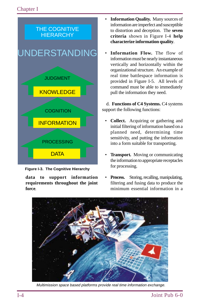<span id="page-19-0"></span>

**Figure I-3. The Cognitive Hierarchy**

**data to support information requirements throughout the joint force**.

- **Information Quality.** Many sources of information are imperfect and susceptible to distortion and deception. The **seven criteria** shown in Figure I-4 **help characterize information quality**.
- **Information Flow.** The flow of information must be nearly instantaneous vertically and horizontally within the organizational structure. An example of real time battlespace information is provided in Figure I-5. All levels of command must be able to immediately pull the information they need.

d. **Functions of C4 Systems.** C4 systems support the following functions:

- **Collect.** Acquiring or gathering and initial filtering of information based on a planned need, determining time sensitivity, and putting the information into a form suitable for transporting.
- **Transport.** Moving or communicating the information to appropriate receptacles for processing.
- **Process.** Storing, recalling, manipulating, filtering and fusing data to produce the minimum essential information in a



Multimission space based platforms provide real time information exchange.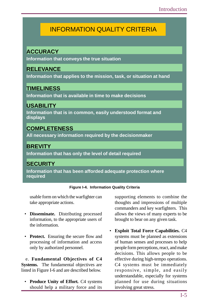# INFORMATION QUALITY CRITERIA

# <span id="page-20-0"></span>**ACCURACY**

**Information that conveys the true situation**

# **RELEVANCE**

**Information that applies to the mission, task, or situation at hand**

# **TIMELINESS**

**Information that is available in time to make decisions**

# **USABILITY**

**Information that is in common, easily understood format and displays**

# **COMPLETENESS**

**All necessary information required by the decisionmaker**

# **BREVITY**

**Information that has only the level of detail required**

# **SECURITY**

**Information that has been afforded adequate protection where required**

## **Figure I-4. Information Quality Criteria**

usable form on which the warfighter can take appropriate actions.

- **Disseminate.** Distributing processed information, to the appropriate users of the information.
- **Protect.** Ensuring the secure flow and processing of information and access only by authorized personnel.

e. **Fundamental Objectives of C4 Systems.** The fundamental objectives are listed in Figure I-6 and are described below.

• **Produce Unity of Effort.** C4 systems should help a military force and its

supporting elements to combine the thoughts and impressions of multiple commanders and key warfighters. This allows the views of many experts to be brought to bear on any given task.

• **Exploit Total Force Capabilities.** C4 systems must be planned as extensions of human senses and processes to help people form perceptions, react, and make decisions. This allows people to be effective during high-tempo operations. C4 systems must be immediately responsive, simple, and easily understandable, especially for systems planned for use during situations involving great stress.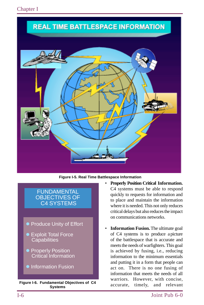<span id="page-21-0"></span>



#### **Figure I-5. Real Time Battlespace Information**

# FUNDAMENTAL OBJECTIVES OF C4 SYSTEMS

## **• Produce Unity of Effort**

- Exploit Total Force **Capabilities**
- **Properly Position** Critical Information
- **Information Fusion**

**Figure I-6. Fundamental Objectives of C4 Systems**

- **Properly Position Critical Information.** C4 systems must be able to respond quickly to requests for information and to place and maintain the information where it is needed. This not only reduces critical delays but also reduces the impact on communications networks.
- **Information Fusion.** The ultimate goal of C4 systems is to produce a picture of the battlespace that is accurate and meets the needs of warfighters. This goal is achieved by fusing, i.e., reducing information to the minimum essentials and putting it in a form that people can act on. There is no one fusing of information that meets the needs of all warriors. However, with concise, accurate, timely, and relevant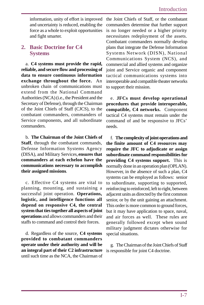<span id="page-22-0"></span>information, unity of effort is improved and uncertainty is reduced, enabling the force as a whole to exploit opportunities and fight smarter.

# **2. Basic Doctrine for C4 Systems**

a. **C4 systems must provide the rapid, reliable, and secure flow and processing of data to ensure continuous information exchange throughout the force.** An unbroken chain of communications must extend from the National Command Authorities (NCA) (i.e., the President and the Secretary of Defense), through the Chairman of the Joint Chiefs of Staff (CJCS), to the combatant commanders, commanders of Service components, and all subordinate commanders.

b. **The Chairman of the Joint Chiefs of Staff**, through the combatant commands, Defense Information Systems Agency (DISA), and Military Services, **ensures that commanders at each echelon have the communications necessary to accomplish their assigned missions**.

c. Effective C4 systems are vital to planning, mounting, and sustaining a successful joint operation. **Operations, logistic, and intelligence functions all depend on responsive C4, the central system that ties together all aspects of joint operations** and allows commanders and their staffs to command and control their forces.

d. Regardless of the source, **C4 systems provided to combatant commanders operate under their authority and will be an integral part of their C2 infrastructure** until such time as the NCA, the Chairman of the Joint Chiefs of Staff, or the combatant commanders determine that further support is no longer needed or a higher priority necessitates redeployment of the assets. Combatant commanders normally develop plans that integrate the Defense Information Systems Network (DISN), National Communications System (NCS), and commercial and allied systems and organize joint and Service organic and component tactical communications systems into interoperable and compatible theater networks to support their mission.

e. **JFCs must develop operational procedures that provide interoperable, compatible, C4 networks.** Component tactical C4 systems must remain under the command of and be responsive to JFCs' needs.

f. **The complexity of joint operations and the finite amount of C4 resources may require the JFC to adjudicate or assign subordinate command responsibilities for providing C4 systems support.** This is normally done in an operation plan (OPLAN). However, in the absence of such a plan, C4 systems can be employed as follows: senior to subordinate, supporting to supported, reinforcing to reinforced, left to right, between adjacent units as directed by the first common senior, or by the unit gaining an attachment. This order is more common to ground forces, but it may have application to space, naval, and air forces as well. These rules are generally followed except when sound military judgment dictates otherwise for special situations.

g. The Chairman of the Joint Chiefs of Staff is responsible for joint C4 doctrine.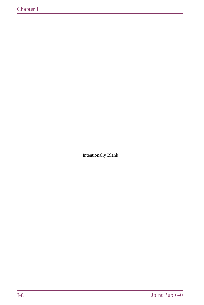Intentionally Blank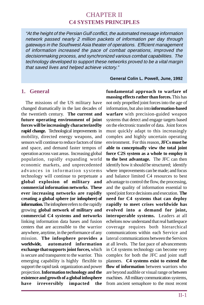# CHAPTER II **C4 SYSTEMS PRINCIPLES**

<span id="page-24-0"></span>"At the height of the Persian Gulf conflict, the automated message information network passed nearly 2 million packets of information per day through gateways in the Southwest Asia theater of operations. Efficient management of information increased the pace of combat operations, improved the decisionmaking process, and synchronized various combat capabilities. The technology developed to support these networks proved to be a vital margin that saved lives and helped achieve victory."

## **1. General**

The missions of the US military have changed dramatically in the last decades of the twentieth century. **The current and future operating environment of joint forces will be increasingly characterized by rapid change.** Technological improvements in mobility, directed energy weapons, and sensors will continue to reduce factors of time and space, and demand faster tempos of operation across vast areas. Increasing global population, rapidly expanding world economic markets, and unprecedented advances in information systems technology will continue to perpetuate a **global explosion of military and commercial information networks**. **These ever increasing networks are rapidly creating a global sphere (or infosphere) of information.** The infosphere refers to the rapidly growing **global network of military and commercial C4 systems and networks** linking information data bases and fusion centers that are accessible to the warrior anywhere, anytime, in the performance of any mission. **The infosphere provides a worldwide, automated information exchange that supports joint forces,** which is secure and transparent to the warrior. This emerging capability is highly flexible to support the rapid task organization and power projection. **Information technology and the existence and growth of a global infosphere have irreversibly impacted the**

#### **General Colin L. Powell, June, 1992**

**fundamental approach to warfare of massing effects rather than forces.** This has not only propelled joint forces into the age of information, but also into **information-based warfare** with precision-guided weapon systems that detect and engage targets based on the electronic transfer of data. Joint forces must quickly adapt to this increasingly complex and highly uncertain operating environment. For this reason, **JFCs must be able to conceptually view the total joint force C2S system as a whole to employ it to the best advantage.** The JFC can then identify how it should be structured; identify where improvements can be made; and focus and balance limited C4 resources to best advantage to control the flow, the processing, and the quality of information essential to speed joint force decisions and execution. **The need for C4 systems that can deploy rapidly to meet crises worldwide has evolved into a demand for joint, interoperable systems.** Leaders at all echelons now understand that real battlespace coverage requires both hierarchical communications within each Service and lateral communications between the Services at all levels. The fast pace of advancements in C4 systems technology can become very complex for both the JFC and joint staff planners. **C4 systems exist to extend the flow of information** between warriors who are beyond audible or visual range or between machines. All military communication systems, from ancient semaphore to the most recent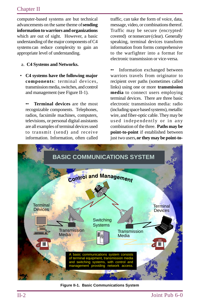# <span id="page-25-0"></span>Chapter II

computer-based systems are but technical advancements on the same theme of **sending information to warriors and organizations** which are out of sight. However, a basic understanding of the major components of C4 systems can reduce complexity to gain an appropriate level of understanding.

- a. **C4 Systems and Networks.**
- **C4 systems have the following major components**: terminal devices, transmission media, switches, and control and management (see Figure II-1).

•• **Terminal devices** are the most recognizable components. Telephones, radios, facsimile machines, computers, televisions, or personal digital assistants are all examples of terminal devices used to transmit (send) and receive information. Information, often called

traffic, can take the form of voice, data, message, video, or combinations thereof. Traffic may be secure (encrypted/ covered) or nonsecure (clear). Generally speaking, terminal devices transform information from forms comprehensive to the warfighter into a format for electronic transmission or vice-versa.

Information exchanged between warriors travels from originator to recipient over paths (sometimes called links) using one or more **transmission media** to connect users employing terminal devices. There are three basic electronic transmission media: radio (including space based systems), metallic wire, and fiber-optic cable. They may be used independently or in any combination of the three. **Paths may be point-to-point** if established between just two users, **or they may be point-to-**



**Figure II-1. Basic Communications System**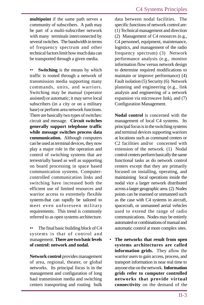**multipoint** if the same path serves a community of subscribers. A path may be part of a multi-subscriber network with many terminals interconnected by several switches. The bandwidth in terms of frequency spectrum and other technical factors limit how much data can be transported through a given media.

•• **Switching** is the means by which traffic is routed through a network of transmission media supporting many commands, units, and warriors. Switching may be manual (operator assisted) or automatic; it may serve local subscribers (in a city or on a military base) or perform area network functions. There are basically two types of switches: circuit and message. **Circuit switches generally support telephone traffic while message switches process data communication.** Although computers can be used as terminal devices, they now play a major role in the operation and control of switching systems that are terrestrially based as well as supporting on board processing in space based communication systems. Computercontrolled communication links and switching have increased both the efficient use of limited resources and warrior access to extremely flexible systems that can rapidly be tailored to meet even unforeseen military requirements. This trend is commonly referred to as open systems architecture.

•• The final basic building block of C4 systems is that of control and management. **There are two basic levels of control: network and nodal.**

**Network control** provides management of area, regional, theater, or global networks. Its principal focus is in the management and configuration of long haul transmission media and switching centers transporting and routing bulk

data between nodal facilities. The specific functions of network control are: (1) Technical management and direction (2) Management of C4 resources (e.g., C4 personnel, equipment, maintenance, logistics, and management of the radio frequency spectrum) (3) Network performance analysis (e.g., monitor information flow versus network design to determine required modifications to maintain or improve performance) (4) Fault isolation (5) Security (6) Network planning and engineering (e.g., link analysis and engineering of a network expansion via microwave link), and (7) Configuration Management.

**Nodal control** is concerned with the management of local C4 systems. Its principal focus is in the switching systems and terminal devices supporting warriors at locations such as command centers or C2 facilities and/or concerned with extension of the network. (1) Nodal control centers perform basically the same functional tasks as do network control centers except that they are primarily focused on installing, operating, and maintaining local operations inside the nodal vice a larger network distributed across a larger geographic area. (2) Nodes points can be manned or unmanned such as the case with C4 systems in aircraft, spacecraft, or unmanned aerial vehicles used to extend the range of radio communications. Nodes may be entirely automated or combinations of manual and automatic control at more complex sites.

• **The networks that result from open systems architectures are called information grids.** They allow the warrior users to gain access, process, and transport information in near real time to anyone else on the network. **Information grids refer to computer controlled networks that provide virtual connectivity** on the demand of the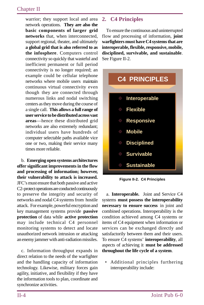# <span id="page-27-0"></span>Chapter II

warrior; they support local and area network operations. **They are also the basic components of larger grid networks** that, when interconnected, support regional, theater, and ultimately **a global grid that is also referred to as the infosphere**. Computers control connectivity so quickly that wasteful and inefficient permanent or full period connectivity is no longer required; an example could be cellular telephone networks where mobile users maintain continuous virtual connectivity even though they are connected through numerous links and nodal switching centers as they move during the course of a single call. **This allows a full range of user service to be distributed across vast areas**—hence these distributed grid networks are also extremely redundant; individual users have hundreds of computer selectable paths available vice one or two, making their service many times more reliable.

b. **Emerging open systems architectures offer significant improvements in the flow and processing of information; however, their vulnerability to attack is increased.** JFC's must ensure that both passive and active C2-protect operations are conducted continuously to preserve the integrity and security of networks and nodal C4 systems from hostile attack. For example, powerful encryption and key management systems provide **passive protection** of data while **active protection** may include technical C4 personnel monitoring systems to detect and locate unauthorized network intrusion or attacking an enemy jammer with anti-radiation missiles.

c. Information throughput expands in direct relation to the needs of the warfighter and the handling capacity of information technology. Likewise, military forces gain agility, initiative, and flexibility if they have the information tools to plan, coordinate and synchronize activities.

## **2. C4 Principles**

To ensure the continuous and uninterrupted flow and processing of information, **joint warfighters must have C4 systems that are interoperable, flexible, responsive, mobile, disciplined, survivable, and sustainable**. See Figure II-2.



**Figure II-2. C4 Principles**

a. **Interoperable.** Joint and Service C4 systems **must possess the interoperability necessary to ensure success** in joint and combined operations. Interoperability is the condition achieved among C4 systems or items of C4 equipment when information or services can be exchanged directly and satisfactorily between them and their users. To ensure C4 systems' **interoperability**, all aspects of achieving it **must be addressed throughout the life cycle of a system**.

• Additional principles furthering interoperability include: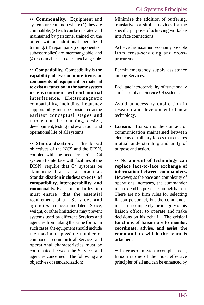•• **Commonality.** Equipment and systems are common when: (1) they are compatible, (2) each can be operated and maintained by personnel trained on the others without additional specialized training, (3) repair parts (components or subassemblies) are interchangeable, and (4) consumable items are interchangeable.

•• **Compatibility.** Compatibility is **the capability of two or more items or components of equipment or material to exist or function in the same system or environment without mutual interference**. Electromagnetic compatibility, including frequency supportability, must be considered at the earliest conceptual stages and throughout the planning, design, development, testing and evaluation, and operational life of all systems.

•• **Standardization.** The broad objectives of the NCS and the DISN, coupled with the need for tactical C4 systems to interface with facilities of the DISN, require that C4 systems be standardized as far as practical. **Standardization includes aspects of compatibility, interoperability, and commonality.** Plans for standardization must ensure that the essential requirements of all Services and agencies are accommodated. Space, weight, or other limitations may prevent systems used by different Services and agencies from taking the same form. In such cases, the equipment should include the maximum possible number of components common to all Services, and operational characteristics must be coordinated between the Services and agencies concerned. The following are objectives of standardization:

Minimize the addition of buffering, translative, or similar devices for the specific purpose of achieving workable interface connections.

Achieve the maximum economy possible from cross-servicing and crossprocurement.

Permit emergency supply assistance among Services.

Facilitate interoperability of functionally similar joint and Service C4 systems.

Avoid unnecessary duplication in research and development of new technology.

• **Liaison.** Liaison is the contact or communication maintained between elements of military forces that ensures mutual understanding and unity of purpose and action.

•• **No amount of technology can replace face-to-face exchange of information between commanders.** However, as the pace and complexity of operations increases, the commander must extend his presence through liaison. There are no firm rules for selecting liaison personnel, but the commander must trust completely the integrity of his liaison officer to operate and make decisions on his behalf. **The critical functions of liaison are to monitor, coordinate, advise, and assist the command to which the team is attached.**

•• In terms of mission accomplishment, liaison is one of the most effective principles of all and can be enhanced by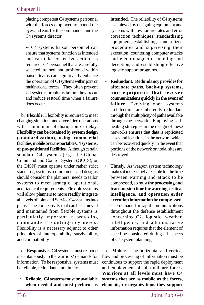placing competent C4 systems personnel with the forces employed to extend the eyes and ears for the commander and the C4 systems director.

•• C4 systems liaison personnel can ensure that systems function as intended and can take corrective action, as required. C4 personnel that are carefully selected, trained, and positioned within liaison teams can significantly enhance the operation of C4 systems within joint or multinational forces. They often prevent C4 systems problems before they occur and reduce restoral time when a failure does occur.

b. **Flexible.** Flexibility is required to meet changing situations and diversified operations with a minimum of disruption or delay. **Flexibility can be obtained by system design (standardization), using commercial facilities, mobile or transportable C4 systems, or pre-positioned facilities.** Although certain standard C4 systems (e.g., the Global Command and Control System (GCCS), or the DISN) must operate under rather strict standards, systems requirements and designs should consider the planners' needs to tailor systems to meet strategic, operational, and tactical requirements. Flexible systems will allow planners to more readily integrate all levels of joint and Service C4 systems into plans. The connectivity that can be achieved and maintained from flexible systems is particularly important in providing commanders' contingency needs. Flexibility is a necessary adjunct to other principles of interoperability, survivability, and compatibility.

c. **Responsive.** C4 systems must respond instantaneously to the warriors' demands for information. To be responsive, systems must be reliable, redundant, and timely.

• **Reliable. C4 systems must be available when needed and must perform as**

**intended.** The reliability of C4 systems is achieved by designing equipment and systems with low failure rates and error correction techniques, standardizing equipment, establishing standardized procedures and supervising their execution, countering computer attacks and electromagnetic jamming and deception, and establishing effective logistic support programs.

- **Redundant. Redundancy provides for alternate paths, back-up systems, and equipment that recover communications quickly in the event of failure.** Evolving open systems architectures are inherently redundant through the multiplicity of paths available through the network. Employing selfhealing strategies in the design of these networks ensures that data is replicated at several locations in the network which can be recovered quickly, in the event that portions of the network or nodal sites are destroyed.
- **Timely.** As weapon system technology makes it increasingly feasible for the time between warning and attack to be compressed, so must **the processing and transmission time for warning, critical intelligence, and operation order execution information be compressed**. The demand for rapid communications throughout the defense establishment concerning C2, logistic, weather, intelligence, and administrative information requires that the element of speed be considered during all aspects of C4 system planning.

d. **Mobile.** The horizontal and vertical flow and processing of information must be continuous to support the rapid deployment and employment of joint military forces. **Warriors at all levels must have C4 systems that are as mobile as the forces, elements, or organizations they support**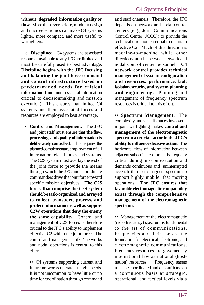**without degraded information quality or flow.** More than ever before, modular design and micro-electronics can make C4 systems lighter, more compact, and more useful to warfighters.

e. **Disciplined.** C4 systems and associated resources available to any JFC are limited and must be carefully used to best advantage. **Discipline begins with the JFC focusing and balancing the joint force command and control infrastructure based on predetermined needs for critical information** (minimum essential information critical to decisionmaking and mission execution). This ensures that limited C4 systems and their associated forces and resources are employed to best advantage.

• **Control and Management.** The JFC and joint staff must ensure that **the flow, processing, and quality of information is deliberately controlled**. This requires the planned complementary employment of all information related forces and systems. The C2S system must overlay the rest of the joint force to provide the means through which the JFC and subordinate commanders drive the joint force toward specific mission objectives. **The C2S forces that comprise the C2S system should be task-organized and arrayed to collect, transport, process, and protect information as well as support C2W operations that deny the enemy the same capability.** Control and management of C2S forces is therefore crucial to the JFC's ability to implement effective C2 within the joint force. The control and management of C4 networks and nodal operations is central to this effort.

•• C4 systems supporting current and future networks operate at high speeds. It is not uncommon to have little or no time for coordination through command

and staff channels. Therefore, the JFC depends on network and nodal control centers (e.g., Joint Communications Control Center (JCCC)) to provide the technical direction essential to maintain effective C2. Much of this direction is machine-to-machine while other directions must be between network and nodal control center personnel. **C4 network control provides technical management of system configuration and resources, performance, fault isolation, security, and system planning and engineering.** Planning and management of frequency spectrum resources is critical to this effort.

•• **Spectrum Management.** The complexity and vast distances involved in joint warfighting makes **control and management of the electromagnetic spectrum a crucial factor in the JFC's ability to influence decisive action**. The horizontal flow of information between adjacent subordinate ommands is equally critical during mission execution and demands continuous and uninterrupted access to the electromagnetic spectrum to support highly mobile, fast moving operations. **The JFC ensures that favorable electromagnetic compatibility exists through the comprehensive management of the electromagnetic spectrum.**

•• Management of the electromagnetic (radio frequency) spectrum is fundamental to the art of communications. Frequencies and their use are the foundation for electrical, electronic, and electromagnetic communications. Frequency resources are governed by international law as national (hostnation) resources. Frequency assets must be coordinated and deconflicted on a continuous basis at strategic, operational, and tactical levels via a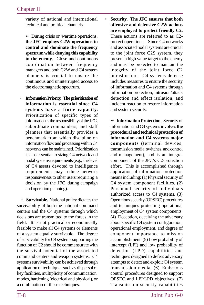variety of national and international technical and political channels.

•• During crisis or wartime operations, **the JFC employs C2W operations to control and dominate the frequency spectrum while denying this capability to the enemy**. Close and continuous coordination between frequency managers and both C2W and C4 system planners is crucial to ensure the continuous and uninterrupted access to the electromagnetic spectrum.

• **Information Priority. The prioritization of information is essential since C4 systems have a finite capacity.** Prioritization of specific types of information is the responsibility of the JFC, subordinate commanders, and staff planners that essentially provides a benchmark from which discipline on information flow and processing within C4 networks can be maintained. Prioritization is also essential to sizing C4 network and nodal systems requirements (e.g., the level of C4 assets devoted to intelligence requirements may reduce network responsiveness to other users requiring a decision by the JFC during campaign and operation planning).

f. **Survivable.** National policy dictates the survivability of both the national command centers and the C4 systems through which decisions are transmitted to the forces in the field. It is not practical or economically feasible to make all C4 systems or elements of a system equally survivable. The degree of survivability for C4 systems supporting the function of C2 should be commensurate with the survival potential of the associated command centers and weapon systems. C4 systems survivability can be achieved through application of techniques such as dispersal of key facilities, multiplicity of communication modes, hardening (electrical and physical), or a combination of these techniques.

• **Security. The JFC ensures that both offensive and defensive C2W actions are employed to protect friendly C2.** These actions are referred to as C2 protect operations. Since C4 networks and associated nodal systems are crucial to the joint force C2S system, they present a high value target to the enemy and must be protected to maintain the integrity of the joint force C2 infrastructure. C4 systems defense includes measures to ensure the security of information and C4 systems through information protection, intrusion/attack detection and effect isolation, and incident reaction to restore information and system security.

•• **Information Protection.** Security of information and C4 systems involves **the procedural and technical protection of information and C4 systems major components** (terminal devices, transmission media, switches, and control and management), and is an integral component of the JFC's C2-protection effort. This is accomplished through application of information protection means including: (1) Physical security of C4 system component facilities. (2) Personnel security of individuals authorized access to C4 systems. (3) Operations security (OPSEC) procedures and techniques protecting operational employment of C4 system components. (4) Deception, deceiving the adversary about specific C4 system configuration, operational employment, and degree of component importance to mission accomplishment. (5) Low probability of intercept (LPI) and low probability of detection (LPD) capabilities and techniques designed to defeat adversary attempts to detect and exploit C4 system transmission media. (6) Emissions control procedures designed to support OPSEC and LPI/LPD objectives. (7) Transmission security capabilities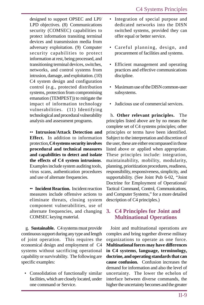<span id="page-32-0"></span>designed to support OPSEC and LPI/ LPD objectives. (8) Communications security (COMSEC) capabilities to protect information transiting terminal devices and transmission media from adversary exploitation. (9) Computer security capabilities to protect information at rest, being processed, and transitioning terminal devices, switches, networks, and control systems from intrusion, damage, and exploitation. (10) C4 system design and configuration control (e.g., protected distribution systems, protection from compromising emanation (TEMPEST)) to mitigate the impact of information technology vulnerabilities. (11) Identifying technological and procedural vulnerability analysis and assessment programs.

•• **Intrusion/Attack Detection and Effect.** In addition to information protection, **C4 systems security involves procedural and technical measures and capabilities to detect and isolate the effects of C4 system intrusions**. Examples include system auditing tools, virus scans, authentication procedures and use of alternate frequencies.

•• **Incident Reaction.** Incident reaction measures include offensive actions to eliminate threats, closing system component vulnerabilities, use of alternate frequencies, and changing COMSEC keying material.

g. **Sustainable.** C4 systems must provide continuous support during any type and length of joint operation. This requires the economical design and employment of C4 systems without sacrificing operational capability or survivability. The following are specific examples:

• Consolidation of functionally similar facilities, which are closely located, under one command or Service.

- Integration of special purpose and dedicated networks into the DISN switched systems, provided they can offer equal or better service.
- Careful planning, design, and procurement of facilities and systems.
- Efficient management and operating practices and effective communications discipline.
- Maximum use of the DISN common-user subsystems.
- Judicious use of commercial services.

h. **Other relevant principles.** The principles listed above are by no means the complete set of C4 systems principles; other principles or terms have been identified. Subject to the interpretation and discretion of the user, these are either encompassed in those listed above or applied when appropriate. These principles include: integration, maintainability, mobility, modularity, planning, prioritization procedures, readiness, responsibility, responsiveness, simplicity, and supportability. (See Joint Pub 6-02, "Joint Doctrine for Employment of Operational/ Tactical Command, Control, Communications, and Computer Systems," for a more detailed description of C4 principles.)

# **3. C4 Principles for Joint and Multinational Operations**

Joint and multinational operations are complex and bring together diverse military organizations to operate as one force. **Multinational forces may have differences in C4 systems**, **language, terminology, doctrine, and operating standards that can cause confusion.** Confusion increases the demand for information and also the level of uncertainty. The lower the echelon of interface between diverse commands, the higher the uncertainty becomes and the greater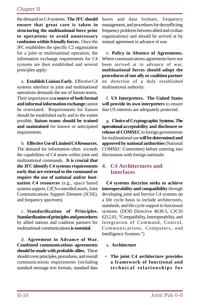<span id="page-33-0"></span>the demand on C4 systems. **The JFC should ensure that great care is taken in structuring the multinational force prior to operations to avoid unnecessary confusion within friendly forces.** Once the JFC establishes the specific C2 organization for a joint or multinational operation, the information exchange requirements for C4 systems are then established and several principles apply:

a. **Establish Liaison Early.** Effective C4 systems interface in joint and multinational operations demands the use of liaison teams. Their importance as **a source of both formal and informal information exchange** cannot be overstated. Requirements for liaison should be established early and to the extent possible, **liaison teams should be trained and maintained** for known or anticipated requirements.

b. **Effective Use of Limited C4 Resources.** The demand for information often exceeds the capabilities of C4 assets within joint and multinational commands. **It is crucial that the JFC identify C4 systems requirements early that are external to the command or require the use of national and/or hostnation C4 resources** (e.g., space based systems support, CJCS-controlled assets, Joint Communications Support Element (JCSE), and frequency spectrum).

c. **Standardization of Principles. Standardization of principles and procedures** by allied nations and coalition partners for multinational communications **is essential**.

d. **Agreement in Advance of War. Combined communications agreements should be made with probable allies.** These should cover principles, procedures, and overall communications requirements (including standard message text formats, standard data bases and data formats, frequency management, and procedures for deconflicting frequency problems between allied and civilian organizations) and should be arrived at by mutual agreement in advance of war.

e. **Policy in Absence of Agreements.** Where communications agreements have not been arrived at in advance of war, **multinational forces should adopt the procedures of one ally or coalition partner** on direction of a duly established multinational authority.

f. **US Interpreters. The United States will provide its own interpreters** to ensure that US interests are adequately protected.

g. **Choice of Cryptographic Systems. The operational acceptability and disclosure or release of COMSEC** to foreign governments for multinational use **will be determined and approved by national authorities** (National COMSEC Committee) before entering into discussions with foreign nationals.

# **4. C4 Architectures and Interfaces**

**C4 systems doctrine seeks to achieve interoperability and compatibility** through developing joint and Service C4 systems on a life cycle basis to include architectures, standards, and life cycle support to functional systems. (DOD Directive 4630.5, CJCSI 6212.01, "Compatibility, Interoperability, and Integration of Command, Control, Communications, Computers, and Intelligence Systems.")

### a. **Architecture**

• **The joint C4 architecture provides a framework of functional and technical relationships for**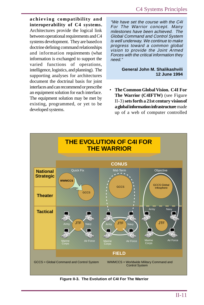<span id="page-34-0"></span>**achieving compatibility and interoperability of C4 systems.** Architectures provide the logical link between operational requirements and C4 systems development. They are based on doctrine defining command relationships and information requirements (what information is exchanged to support the varied functions of operations, intelligence, logistics, and planning). The supporting analyses for architectures document the doctrinal basis for joint interfaces and can recommend or prescribe an equipment solution for each interface. The equipment solution may be met by existing, programmed, or yet to be developed systems.

"We have set the course with the C4I For The Warrior concept. Many milestones have been achieved. The Global Command and Control System is well underway. We continue to make progress toward a common global vision to provide the Joint Armed Forces with the critical information they need."

> **General John M. Shalikashvili 12 June 1994**

• **The Common Global Vision. C4I For The Warrior (C4IFTW)** (see Figure II-3) **sets forth a 21st century vision of a global information infrastructure** made up of a web of computer controlled



**Figure II-3. The Evolution of C4I For The Warrior**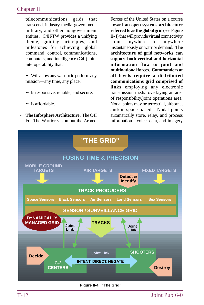<span id="page-35-0"></span>telecommunications grids that transcends industry, media, government, military, and other nongovernment entities. C4IFTW provides a unifying theme, guiding principles, and milestones for achieving global command, control, communications, computers, and intelligence (C4I) joint interoperability that:

- •• Will allow any warrior to perform any mission—any time, any place.
- •• Is responsive, reliable, and secure.
- •• Is affordable.
- **The Infosphere Architecture.** The C4I For The Warrior vision put the Armed

Forces of the United States on a course toward **an open systems architecture referred to as the global grid** (see Figure II-4) that will provide virtual connectivity from anywhere to anywhere instantaneously on warrior demand. **The architecture of grid networks can support both vertical and horizontal information flow to joint and multinational forces. Commanders at all levels require a distributed communications grid comprised of links** employing any electronic transmission media overlaying an area of responsibility/joint operations area. Nodal points may be terrestrial, airborne, and/or space-based. Nodal points automatically store, relay, and process information. Voice, data, and imagery

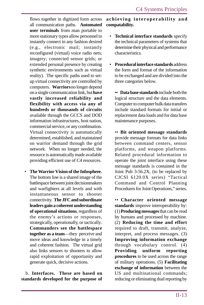flows together in digitized form across all communication paths. **Automated user terminals** from man portable to more stationary types allow personnel to instantly connect in any fashion desired (e.g., electronic mail; instantly reconfigured (virtual) voice radio nets; imagery; connected sensor grids; or extended personal presence by creating synthetic environments such as virtual reality). The specific paths used to setup virtual connectivity are controlled by computers. **Warriors** no longer depend on a single communication link, but **have vastly increased reliability and flexibility with access via any of hundreds or thousands of circuits** available through the GCCS and DOD information infrastructures, host nation, commercial service, or any combination. Virtual connectivity is automatically determined, established, and maintained on warrior demand through the grid network. When no longer needed, the resource is automatically made available providing efficient use of C4 resources.

• **The Warrior Vision of the Infosphere.** The bottom line is a shared image of the battlespace between joint decisionmakers and warfighters at all levels and with instantaneous sensor to shooter connectivity. **The JFC and subordinate leaders gain a coherent understanding of operational situations**, regardless of the enemy's actions or responses, strategically, operationally, or tactically. **Commanders see the battlespace together as a team**—they perceive and move ideas and knowledge in a timely and coherent fashion. The virtual grid also links sensors to shooters to allow rapid exploitation of opportunity and generate quick, decisive actions.

b. **Interfaces. These are based on standards developed for the purpose of**

### **achieving interoperability and compatability.**

- **Technical interface standards** specify the technical parameters of systems that determine their physical and performance characteristics.
- **Procedural interface standards** address the form and format of the information to be exchanged and are divided into the three categories below.

•• **Data base standards** include both the logical structure and the data elements. Computer to computer bulk data transfers include standard formats for initial or replacement data loads and for data base maintenance purposes.

•• **Bit oriented message standards** provide message formats for data links between command centers, sensor platforms, and weapon platforms. Related procedural information to operate the joint interface using these message standards is contained in the Joint Pub 3-56.2X, (to be replaced by CJCSI 6120.0X series) "Tactical Command and Control Planning Procedures for Joint Operations," series.

•• **Character oriented message standards** improve interoperability by: (1) **Producing messages** that can be read by humans and processed by machine. (2) **Reducing the time and effort** required to draft, transmit, analyze, interpret, and process messages. (3) **Improving information exchange** through vocabulary control. (4) **Providing uniform reporting procedures** to be used across the range of military operations. (5) **Facilitating exchange of information** between the US and multinational commands; reducing or eliminating dual reporting by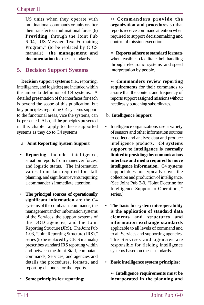US units when they operate with multinational commands or units or after their transfer to a multinational force. (6) **Providing**, through the Joint Pub 6-04, "US Message Text Formatting Program," (to be replaced by CJCS manuals), **the management and documentation** for these standards.

## **5. Decision Support Systems**

**Decision support systems** (i.e., reporting, intelligence, and logistics) are included within the umbrella definition of C4 systems. A detailed presentation of the interfaces for each is beyond the scope of this publication, but key principles regarding C4 systems support to the functional areas, vice the systems, can be presented. Also, all the principles presented in this chapter apply to these supported systems as they do to C4 systems.

### a. **Joint Reporting System Support**

- **Reporting** includes intelligence, situation reports from maneuver forces, and logistic status. The information varies from data required for staff planning, and significant events requiring a commander's immediate attention.
- **The principal sources of operationally significant information** are the C4 systems of the combatant commands, the management and/or information systems of the Services, the support systems of the DOD agencies, and the Joint Reporting Structure (JRS). The Joint Pub 1-03, "Joint Reporting Structure (JRS)," series (to be replaced by CJCS manuals) prescribes standard JRS reporting within and between the Joint Staff, combatant commands, Services, and agencies and details the procedures, formats, and reporting channels for the reports.
- **Some principles for reporting:**

•• **Commanders provide the organization and procedures** so that reports receive command attention when required to support decisionmaking and control of mission execution.

•• **Reports adhere to standard formats** when feasible to facilitate their handling through electronic systems and speed interpretation by people.

•• **Commanders review reporting requirements** for their commands to assure that the content and frequency of reports support assigned missions without needlessly burdening subordinates.

### b. **Intelligence Support**

- Intelligence organizations use a variety of sensors and other information sources to collect and analyze data and produce intelligence products. **C4 systems support to intelligence is normally limited to providing the communications interface and media required to move intelligence information.** C4 systems support does not typically cover the collection and production of intelligence. (See Joint Pub 2-0, "Joint Doctrine for Intelligence Support to Operations," series.)
- **The basis for system interoperability is the application of standard data elements and structures and information exchange standards** applicable to all levels of command and to all Services and supporting agencies. The Services and agencies are responsible for fielding intelligence systems based on these standards.
- **Basic intelligence system principles:**

•• **Intelligence requirements must be incorporated in the planning and**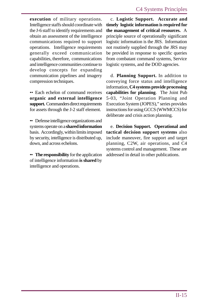**execution** of military operations. Intelligence staffs should coordinate with the J-6 staff to identify requirements and obtain an assessment of the intelligence communications required to support operations. Intelligence requirements generally exceed communication capabilities, therefore, communications and intelligence communities continue to develop concepts for expanding communication pipelines and imagery compression techniques.

•• Each echelon of command receives **organic and external intelligence support.** Commanders direct requirements for assets through the J-2 staff element.

•• Defense intelligence organizations and systems operate on a **shared information** basis. Accordingly, within limits imposed by security, intelligence is distributed up, down, and across echelons.

•• **The responsibility** for the application of intelligence information **is shared** by intelligence and operations.

c. **Logistic Support. Accurate and timely logistic information is required for the management of critical resources.** A principle source of operationally significant logistic information is the JRS. Information not routinely supplied through the JRS may be provided in response to specific queries from combatant command systems, Service logistic systems, and the DOD agencies.

d. **Planning Support.** In addition to conveying force status and intelligence information, **C4 systems provide processing capabilities for planning**. The Joint Pub 5-03, "Joint Operation Planning and Execution System (JOPES)," series provides instructions for using GCCS (WWMCCS) for deliberate and crisis action planning.

e. **Decision Support. Operational and tactical decision support systems** also include maneuver, fire support and target planning, C2W, air operations, and C4 systems control and management. These are addressed in detail in other publications.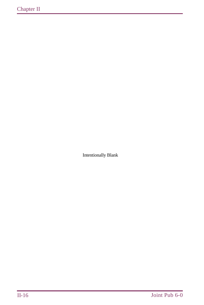Intentionally Blank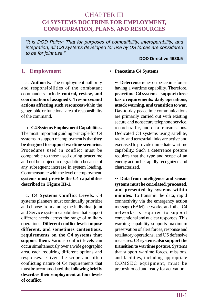# CHAPTER III **C4 SYSTEMS DOCTRINE FOR EMPLOYMENT, CONFIGURATION, PLANS, AND RESOURCES**

"It is DOD Policy: That for purposes of compatibility, interoperability, and integration, all C3I systems developed for use by US forces are considered to be for joint use."

#### **DOD Directive 4630.5**

### **1. Employment**

a. **Authority.** The employment authority and responsibilities of the combatant commanders include **control, review, and coordination of assigned C4 resourcesand actions affecting such resources** within the geographic or functional area of responsibility of the command.

b. **C4 Systems Employment Capabilities.** The most important guiding principle for C4 systems in support of employment is that **they be designed to support wartime scenarios**. Procedures used in conflict must be comparable to those used during peacetime and not be subject to degradation because of any subsequent increase in system loading. Commensurate with the level of employment, **systems must provide the C4 capabilities described in Figure III-1**.

c. **C4 Systems Conflict Levels.** C4 systems planners must continually prioritize and choose from among the individual joint and Service system capabilities that support different needs across the range of military operations. **Different conflict levels impose different, and sometimes contentious, requirements on the C4 systems that support them.** Various conflict levels can occur simultaneously over a wide geographic area, each requiring different options and responses. Given the scope and often conflicting nature of C4 requirements that must be accommodated, **the following briefly describes their employment at four levels of conflict**.

#### • **Peacetime C4 Systems**

•• **Deterrence** relies on peacetime forces having a wartime capability. Therefore, **peacetime C4 systems support three basic requirements: daily operations, attack warning, and transition to war**. Day-to-day peacetime communications are primarily carried out with existing secure and nonsecure telephone service, record traffic, and data transmissions. Dedicated C4 systems using satellite, radio, and terrestrial links are active and exercised to provide immediate wartime capability. Such a deterrence posture requires that the type and scope of an enemy action be rapidly recognized and characterized.

•• **Data from intelligence and sensor systems must be correlated, processed, and presented by systems within minutes.** To transmit the data, rapid connectivity via the emergency action message (EAM) networks, and other C4 networks is required to support conventional and nuclear responses. This warning capability supports maximum preservation of alert forces, response and retaliatory operations, and US defensive measures. **C4 systems also support the transition to wartime posture.** Systems that support wartime forces, missions, and facilities, including appropriate COMSEC equipment, must be prepositioned and ready for activation.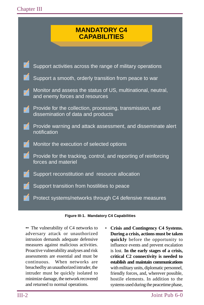

### **Figure III-1. Mandatory C4 Capabilities**

•• The vulnerability of C4 networks to adversary attack or unauthorized intrusion demands adequate defensive measures against malicious activities. Proactive vulnerability analyses and risk assessments are essential and must be continuous. When networks are breached by an unauthorized intruder, the intruder must be quickly isolated to minimize damage, the network recovered and returned to normal operations.

• **Crisis and Contingency C4 Systems. During a crisis, actions must be taken quickly** before the opportunity to influence events and prevent escalation is lost. **In the early stages of a crisis, critical C2 connectivity is needed to establish and maintain communications** with military units, diplomatic personnel, friendly forces, and, wherever possible, hostile elements. In addition to the systems used during the peacetime phase,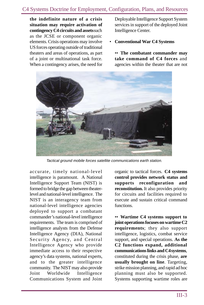**the indefinite nature of a crisis situation may require activation of contingency C4 circuits and assets** such as the JCSE or component organic elements. Crisis operations may involve US forces operating outside of traditional theaters and areas of operations, as part of a joint or multinational task force. When a contingency arises, the need for

Deployable Intelligence Support System services in support of the deployed Joint Intelligence Center.

• **Conventional War C4 Systems**

•• **The combatant commander may take command of C4 forces** and agencies within the theater that are not



Tactical ground mobile forces satellite communications earth station.

accurate, timely national-level intelligence is paramount. A National Intelligence Support Team (NIST) is formed to bridge the gap between theaterlevel and national-level intelligence. The NIST is an interagency team from national-level intelligence agencies deployed to support a combatant commander's national-level intelligence requirements. The team is comprised of intelligence analysts from the Defense Intelligence Agency (DIA), National Security Agency, and Central Intelligence Agency who provide immediate access to their respective agency's data systems, national experts, and to the greater intelligence community. The NIST may also provide Joint Worldwide Intelligence Communications System and Joint

organic to tactical forces. **C4 systems control provides network status and supports reconfiguration and reconstitution.** It also provides priority for circuits and facilities required to execute and sustain critical command functions.

•• **Wartime C4 systems support to joint operations focuses on wartime C2 requirements**; they also support intelligence, logistics, combat service support, and special operations. **As the C2 functions expand, additional communications links and C4systems**, constituted during the crisis phase, **are usually brought on line**. Targeting, strike mission planning, and rapid ad hoc planning must also be supported. Systems supporting wartime roles are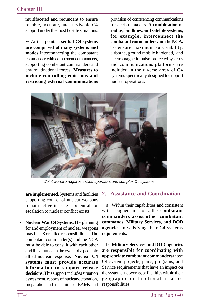## Chapter III

multifaceted and redundant to ensure reliable, accurate, and survivable C4 support under the most hostile situations.

•• At this point, **essential C4 systems are comprised of many systems and modes** interconnecting the combatant commander with component commanders, supporting combatant commanders and any multinational forces. **Measures to include controlling emissions and restricting external communications**

provision of conferencing communications for decisionmakers**. A combination of radios, landlines, and satellite systems, for example, interconnect the combatant commanders and the NCA.** To ensure maximum survivability, airborne, ground mobile hardened, and electromagnetic-pulse-protected systems and communications platforms are included in the diverse array of C4 systems specifically designed to support nuclear operations.



Joint warfare requires skilled operators and complex C4 systems.

**are implemented.** Systems and facilities supporting control of nuclear weapons remain active in case a potential for escalation to nuclear conflict exists.

• **Nuclear War C4 Systems.** The planning for and employment of nuclear weapons may be US or allied responsibilities. The combatant commander(s) and the NCA must be able to consult with each other and the alliance in the event of a possible allied nuclear response. **Nuclear C4 systems must provide accurate information to support release decisions.** This support includes situation assessment, reports of nuclear detonation, preparation and transmittal of EAMs, and

### **2. Assistance and Coordination**

a. Within their capabilities and consistent with assigned missions, the **combatant commanders assist other combatant commands, Military Services, and DOD agencies** in satisfying their C4 systems requirements.

b. **Military Services and DOD agencies are responsible for coordinating with appropriate combatant commanders** those C4 system projects, plans, programs, and Service requirements that have an impact on the systems, networks, or facilities within their geographic or functional areas of responsibilities.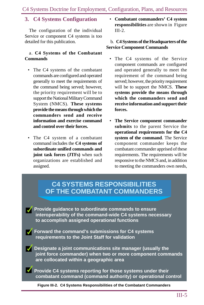C4 Systems Doctrine for Employment, Configuration, Plans, and Resources

## **3. C4 Systems Configuration**

The configuration of the individual Service or component C4 systems is too detailed for this publication.

### a. **C4 Systems of the Combatant Commands**

- The C4 systems of the combatant commands are configured and operated generally to meet the requirements of the command being served; however, the priority requirement will be to support the National Military Command System (NMCS). **These systems provide the means through which the commanders send and receive information and exercise command and control over their forces.**
- The C4 system of a combatant command includes the **C4 systems of subordinate unified commands and joint task forces (JTFs)** when such organizations are established and assigned.

• **Combatant commanders' C4 system responsibilities** are shown in Figure III-2.

### b. **C4 Systems of the Headquarters of the Service Component Commands**

- The C4 systems of the Service component commands are configured and operated generally to meet the requirement of the command being served; however, the priority requirement will be to support the NMCS. **These systems provide the means through which the commanders send and receive information and support their forces.**
- **The Service component commander submits** to the parent Service the **operational requirements for the C4 system of the command**. The Service component commander keeps the combatant commander apprised of these requirements. The requirements will be responsive to the NMCS and, in addition to meeting the commanders own needs,

# **C4 SYSTEMS RESPONSIBILITIES OF THE COMBATANT COMMANDERS**

- **Provide guidance to subordinate commands to ensure interoperability of the command-wide C4 systems necessary to accomplish assigned operational functions**
- **Forward the command's submissions for C4 systems requirements to the Joint Staff for validation**
- **Designate a joint communications site manager (usually the joint force commander) when two or more component commands are collocated within a geographic area**
- **Provide C4 systems reporting for those systems under their combatant command (command authority) or operational control**

**Figure III-2. C4 Systems Responsibilities of the Combatant Commanders**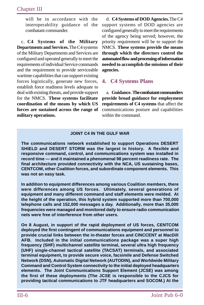will be in accordance with the interoperability guidance of the combatant commander.

c. **C4 Systems of the Military Departments and Services.** The C4 systems of the Military Departments and Services are configured and operated generally to meet the requirements of individual Service commands and the requirement to provide serviceable wartime capabilities that can support existing forces logistically, generate new forces, establish force readiness levels adequate to deal with existing threats, and provide support for the NMCS. **These systems facilitate coordination of the means by which US forces are sustained across the range of military operations.**

d. **C4 Systems of DOD Agencies.** The C4 support systems of DOD agencies are configured generally to meet the requirements of the agency being served; however, the priority requirement will be to support the NMCS. **These systems provide the means through which the directors control the automated flow and processing of information needed to accomplish the missions of their agencies.**

## **4. C4 Systems Plans**

a. **Guidance. The combatant commanders provide broad guidance for employment requirements of C4 systems** that affect the communications posture and capabilities within the command.

#### **JOINT C4 IN THE GULF WAR**

**The communications network established to support Operations DESERT SHIELD and DESERT STORM was the largest in history. A flexible and responsive command, control, and communications system was installed in record time — and it maintained a phenomenal 98 percent readiness rate. The final architecture provided connectivity with the NCA, US sustaining bases, CENTCOM, other Coalition forces, and subordinate component elements. This was not an easy task.**

**In addition to equipment differences among various Coalition members, there were differences among US forces. Ultimately, several generations of equipment and many different command and staff elements were melded. At the height of the operation, this hybrid system supported more than 700,000 telephone calls and 152,000 messages a day. Additionally, more than 35,000 frequencies were managed and monitored daily to ensure radio communication nets were free of interference from other users.**

**On 8 August, in support of the rapid deployment of US forces, CENTCOM deployed the first contingent of communications equipment and personnel to provide crucial links between the in-theater forces and CINCCENT at MacDill AFB. Included in the initial communications package was a super high frequency (SHF) multichannel satellite terminal, several ultra high frequency (UHF) single-channel tactical satellite (TACSAT) terminals, and associated terminal equipment, to provide secure voice, facsimile and Defense Switched Network (DSN), Automatic Digital Network (AUTODIN), and Worldwide Military Command and Control System connectivity to the initial deployed headquarters elements. The Joint Communications Support Element (JCSE) was among the first of these deployments (The JCSE is responsible to the CJCS for providing tactical communications to JTF headquarters and SOCOM.) At the**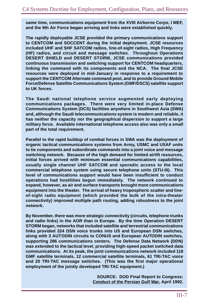**same time, communications equipment from the XVIII Airborne Corps, I MEF, and the 9th Air Force began arriving and links were established quickly.**

**The rapidly deployable JCSE provided the primary communications support to CENTCOM and SOCCENT during the initial deployment. JCSE resources included UHF and SHF SATCOM radios, line-of-sight radios, High Frequency (HF) radios, and circuit and message switches. Throughout Operations DESERT SHIELD and DESERT STORM, JCSE communications provided continuous transmission and switching support for CENTCOM headquarters, linking the command with its components and the NCA. The final JCSE resources were deployed in mid-January in response to a requirement to support the CENTCOM Alternate command post, and to provide Ground Mobile Force/Defense Satellite Communications System (GMF/DSCS) satellite support to UK forces.**

**The Saudi national telephone service augmented early deploying communications packages. There were very limited in-place Defense Communications System (DCS) facilities anywhere in Southwest Asia (SWA) and, although the Saudi telecommunications system is modern and reliable, it has neither the capacity nor the geographical dispersion to support a large military force. Available international telephone access also was only a small part of the total requirement.**

**Parallel to the rapid buildup of combat forces in SWA was the deployment of organic tactical communications systems from Army, USMC and USAF units to tie components and subordinate commands into a joint voice and message switching network. Because of the high demand for limited airlift resources, initial forces arrived with minimum essential communications capabilities, usually single channel UHF SATCOM and sporadic access to the local commercial telephone system using secure telephone units (STU-III). This level of communications support would have been insufficient to conduct operations had hostilities begun immediately. The network continued to expand, however, as air and surface transports brought more communications equipment into the theater. The arrival of heavy tropospheric scatter and lineof-sight radio equipment (which provided the bulk of the intra-theater connectivity) improved multiple path routing, adding robustness to the joint network.**

**By November, there was more strategic connectivity (circuits, telephone trunks and radio links) in the AOR than in Europe. By the time Operation DESERT STORM began, networks that included satellite and terrestrial communications links provided 324 DSN voice trunks into US and European DSN switches, along with 3 AUTODIN circuits to CONUS and European AUTODIN switches, supporting 286 communications centers. The Defense Data Network (DDN) was extended to the tactical level, providing high-speed packet switched data communications. At its peak, the joint communications network included 118 GMF satellite terminals, 12 commercial satellite terminals, 61 TRI-TAC voice and 20 TRI-TAC message switches. (This was the first major operational employment of the jointly developed TRI-TAC equipment.)**

> **SOURCE: DOD Final Report to Congress: Conduct of the Persian Gulf War, April 1992.**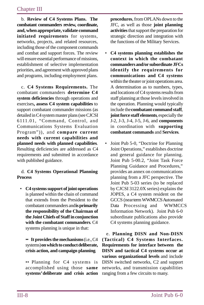b. **Review of C4 Systems Plans. The combatant commanders review, coordinate, and, when appropriate, validate command initiated requirements** for systems, networks, projects, and related resources, including those of the component commands and combat and support forces. The review will ensure essential performance of missions, establishment of selective implementation priorities, and agreement with approved plans and programs, including employment plans.

c. **C4 Systems Requirements.** The combatant commanders **determine C4 system deficiencies** through operations and exercises**, assess C4 system capabilities** to support combatant commander missions (as detailed in C4 system master plans (see CJCSI 6111.01, "Command, Control, and Communications Systems Evaluation Program")), and **compare current needs with current capabilities and planned needs with planned capabilities**. Resulting deficiencies are addressed as C4 requirements and submitted in accordance with published guidance.

### d. **C4 Systems Operational Planning Process**

• **C4 systems support of joint operations** is planned within the chain of command that extends from the President to the combatant commanders and **is primarily the responsibility of the Chairman of the Joint Chiefs of Staff in conjunction with the combatant commanders**. C4 systems planning is unique in that:

•• **It provides the mechanisms** (i.e., C4 systems) **on which to conduct deliberate, crisis action, and campaign planning**.

•• Planning for C4 systems is accomplished using those **same systems' deliberate and crisis action**

**procedures**, from OPLANs down to the JFC, as well as those **joint planning activities** that support the preparation for strategic direction and integration with the functions of the Military Services.

- **C4 systems planning establishes the context in which the combatant commanders and/or subordinate JFCs identify the requirements for communications and C4 systems** within the theater or joint operations area. A determination as to numbers, types, and locations of C4 systems results from staff planning at those levels involved in the operation. Planning would typically include the **combatant command staff**, **joint force staff elements**, especially the J-2, J-3, J-4, J-5, J-6, and **components** in coordination with **supporting combatant commands** and **Services**.
- Joint Pub 5-0, "Doctrine for Planning Joint Operations," establishes doctrine and general guidance for planning. Joint Pub 5-00.2, "Joint Task Force Planning Guidance and Procedures," provides an annex on communications planning from a JFC perspective. The Joint Pub 5-03 series (to be replaced by CJCSI 3122.0X series) explains the JOPES, a C4 system resident on the GCCS (near term WWMCCS Automated Data Processing and WWMCCS Information Network). Joint Pub 6-0 subordinate publications also provide C4 systems planning guidance.

e. **Planning DISN and Non-DISN (Tactical) C4 Systems Interfaces. Requirements for interface between the DISN and tactical C4 systems occur at various organizational levels** and include DISN switched networks, C2 and support networks, and transmission capabilities ranging from a few circuits to many.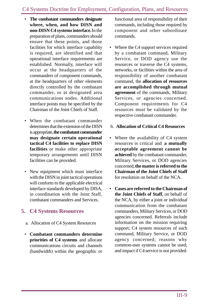- **The combatant commanders designate where, when, and how DISN and non-DISN C4 systems interface.** In the preparation of plans, commanders should ensure that these points, and those facilities for which interface capability is required, are identified and that operational interface requirements are established. Normally, interface will occur at the headquarters of the commanders of component commands, at the headquarters of other elements directly controlled by the combatant commander, or at designated area communications nodes. Additional interface points may be specified by the Chairman of the Joint Chiefs of Staff.
- When the combatant commander determines that the extension of the DISN is appropriate, **the combatant commander may designate certain operational tactical C4 facilities to replace DISN facilities** or make other appropriate temporary arrangements until DISN facilities can be provided.
- New equipment which must interface with the DISN in joint tactical operations will conform to the applicable electrical interface standards developed by DISA, in coordination with the Joint Staff, combatant commanders and Services.

# **5. C4 Systems Resources**

- a. Allocation of C4 System Resources
- **Combatant commanders determine priorities of C4 systems** and allocate communications circuits and channels (bandwidth) within the geographic or

functional area of responsibility of their commands, including those required by component and other subordinate commands.

• Where the C4 support services required by a combatant command, Military Service, or DOD agency use the resources or traverse the C4 systems, networks, or facilities within the area of responsibility of another combatant command, the **allocation of resources are accomplished through mutual agreement** of the commands, Military Services, or agencies concerned. Component requirements for C4 resources must be validated by the respective combatant commander.

### b. **Allocation of Critical C4 Resources**

- Where the availability of C4 system resources is critical and **a mutually acceptable agreement cannot be achieved** by the combatant commander, Military Services, or DOD agencies concerned, **the matter is referred to the Chairman of the Joint Chiefs of Staff** for resolution on behalf of the NCA.
- **Cases are referred to the Chairman of the Joint Chiefs of Staff**, on behalf of the NCA, by either a joint or individual communication from the combatant commanders, Military Services, or DOD agencies concerned. Referrals include information on the mission requiring support; C4 system resources of each command, Military Service, or DOD agency concerned; reasons why common-user systems cannot be used; and impact if C4 service is not provided.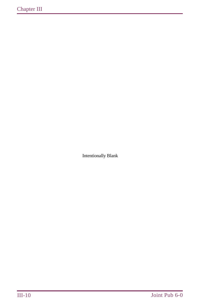Intentionally Blank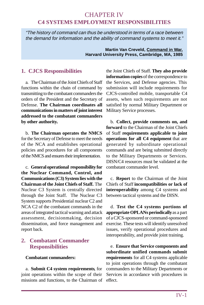# CHAPTER IV **C4 SYSTEMS EMPLOYMENT RESPONSIBILITIES**

"The history of command can thus be understood in terms of a race between the demand for information and the ability of command systems to meet it."

> **Martin Van Creveld, Command in War, Harvard University Press, Cambridge, MA, 1985**

## **1. CJCS Responsibilities**

a. The Chairman of the Joint Chiefs of Staff functions within the chain of command by transmitting to the combatant commanders the orders of the President and the Secretary of Defense. **The Chairman coordinates all communications in matters of joint interest addressed to the combatant commanders by other authority.**

b. **The Chairman operates the NMCS** for the Secretary of Defense to meet the needs of the NCA and establishes operational policies and procedures for all components of the NMCS and ensures their implementation.

c. **General operational responsibility for the Nuclear Command, Control, and Communications (C3) System lies with the Chairman of the Joint Chiefs of Staff.** The Nuclear C3 System is centrally directed through the Joint Staff. The Nuclear C3 System supports Presidential nuclear C2 and NCA C2 of the combatant commands in the areas of integrated tactical warning and attack assessment, decisionmaking, decision dissemination, and force management and report back.

### **2. Combatant Commander Responsibilities**

#### **Combatant commanders:**

a. **Submit C4 system requirements**, for joint operations within the scope of their missions and functions, to the Chairman of the Joint Chiefs of Staff. **They also provide information copies** of the correspondence to the Services, and Defense agencies. This submission will include requirements for CJCS-controlled mobile, transportable C4 assets, when such requirements are not satisfied by normal Military Department or Military Service processes.

b. **Collect, provide comments on, and forward** to the Chairman of the Joint Chiefs of Staff **requirements applicable to joint operations for all C4 equipment** that are generated by subordinate operational commands and are being submitted directly to the Military Departments or Services. DISN/C4 resources must be validated at the combatant commander level.

c. **Report** to the Chairman of the Joint Chiefs of Staff **incompatibilities or lack of interoperability** among C4 systems and between tactical systems and the DISN.

d. **Test the C4 systems portions of appropriate OPLANs periodically** as a part of a CJCS-sponsored or command-sponsored exercise. These tests will identify unresolved issues, verify operational procedures and interoperability, and provide joint training.

e. **Ensure that Service components and subordinate unified commands submit requirements** for all C4 systems applicable to joint operations through the combatant commanders to the Military Departments or Services in accordance with procedures in effect.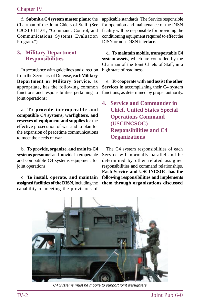f. **Submit a C4 system master plan** to the Chairman of the Joint Chiefs of Staff. (See CJCSI 6111.01, "Command, Control, and Communications Systems Evaluation Program.")

## **3. Military Department Responsibilities**

In accordance with guidelines and direction from the Secretary of Defense, each **Military Department or Military Service**, as appropriate, has the following common functions and responsibilities pertaining to joint operations:

a. **To provide interoperable and compatible C4 systems, warfighters, and reserves of equipment and supplies** for the effective prosecution of war and to plan for the expansion of peacetime communications to meet the needs of war.

b. **To provide, organize, and train its C4 systems personnel** and provide interoperable and compatible C4 systems equipment for joint operations.

c. **To install, operate, and maintain assigned facilities of the DISN**, including the capability of meeting the provisions of applicable standards. The Service responsible for operation and maintenance of the DISN facility will be responsible for providing the conditioning equipment required to effect the DISN or non-DISN interface.

d. **To maintain mobile, transportable C4 system assets**, which are controlled by the Chairman of the Joint Chiefs of Staff, in a high state of readiness.

e. **To cooperate with and assist the other Services** in accomplishing their C4 system functions, as determined by proper authority.

**4. Service and Commander in Chief, United States Special Operations Command (USCINCSOC) Responsibilities and C4 Organizations**

The C4 system responsibilities of each Service will normally parallel and be determined by other related assigned responsibilities and command relationships. **Each Service and USCINCSOC has the following responsibilities and implements them through organizations discussed**



C4 Systems must be mobile to support joint warfighters.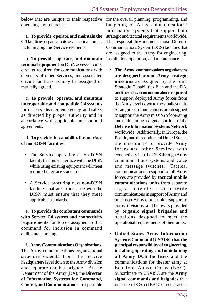**below** that are unique to their respective operating environments:

a. **To provide, operate, and maintain the C4 facilities** organic to its own tactical forces, including organic Service elements.

b. **To provide, operate, and maintain terminal equipment** on DISN access circuits, circuits required for communications with elements of other Services, and associated circuit facilities as may be assigned or mutually agreed.

c. **To provide, operate, and maintain interoperable and compatible C4 systems** for distress, disaster, emergency, and safety as directed by proper authority and in accordance with applicable international agreements.

d. **To provide the capability for interface of non-DISN facilities.**

- The Service operating a non-DISN facility that must interface with the DISN while using existing equipment will meet required interface standards.
- A Service procuring new non-DISN facilities that are to interface with the DISN must ensure that they meet applicable standards.

e. **To provide the combatant commands with Service C4 system and connectivity requirements** for forces assigned to that command for inclusion in command deliberate planning.

f. **Army Communications Organizations.** The Army communications organizational structure extends from the Service headquarters level down to the Army division and separate combat brigade. At the Department of the Army (DA), the **Director of Information Systems for Command, Control, and Communications** is responsible

for the overall planning, programming, and budgeting of Army communications/ information systems that support both strategic and tactical requirements worldwide. The responsibility includes those Defense Communications System (DCS) facilities that are assigned to the Army for engineering, installation, operation, and maintenance.

- **The Army communications organizations are designed around Army strategic missions** as assigned by the Joint Strategic Capabilities Plan and the DA, **and the tactical communications required** to support deployed Army forces from the Army level down to the smallest unit. Strategic communications are designed to support the Army mission of operating and maintaining assigned portions of the **Defense Information Systems Network** worldwide. Additionally, in Europe, the Pacific, and the continental United States, the mission is to provide Army forces and other Services with conductivity into the DCS through Army communications systems and voice and message switches. Tactical communications in support of all Army forces are provided by **tactical mobile communications units** from separate signal brigades that provide communications in support of Army and other non-Army c orps units. Support to corps, divisions, and below is provided by **organic signal brigades** and battalions designed to meet the operational requirements of their units.
- **United States Army Information Systems Command** (**USAISC) has the principal responsibility of engineering, installing, operating, and maintaining all Army DCS facilities** and the communications for theater army at Echelons Above Corps (EAC). Subordinate to USAISC are the **Army signal commands and brigades** that implement DCS and EAC communications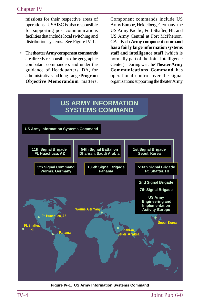## Chapter IV

missions for their respective areas of operations. USAISC is also responsible for supporting post communications facilities that include local switching and distribution systems. See Figure IV-1.

• The **theater Army component commands** are directly responsible to the geographic combatant commanders and under the guidance of Headquarters, DA, for administrative and long-range **Program Objective Memorandum** matters.

Component commands include US Army Europe, Heidelberg, Germany; the US Army Pacific, Fort Shafter, HI; and US Army Central at Fort McPherson, GA. **Each Army component command has a fairly large information systems staff and intelligence staff** (which is normally part of the Joint Intelligence Center). During war, the **Theater Army Communications Command** has operational control over the signal organizations supporting the theater Army



**Figure IV-1. US Army Information Systems Command**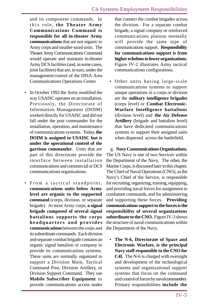and its component commands. In this role, **the Theater Army Communications Command is responsible for all in-theater Army communications** that are not organic to Army corps and smaller-sized units. The Theater ArmyCommunications Command would operate and maintain in-theater Army DCS facilities (and, in some cases, joint facilities) that are, in turn, under the management/control of the DISA Area Communications Operations Center.

- In October 1992 the Army modified the way USAISC operates on an installation. Previously, the Directorate of Information Management (DOIM) worked directly for USAISC and did not fall under the post commander for the installation, operation, and maintenance of communications systems. Today, **the DOIM is assigned to USAISC but is under the operational control of the garrison commander**. Units that are part of this directorate provide the interface between installation communications and commercial or DCS communications organizations.
- From a tactical standpoint, **communications units below Army level are organic to the supported command** (corps, division, or separate brigade). At most Army corps, **a signal brigade composed of several signal battalions supports the corps headquarters and provides communications** between the corps and its subordinate commands. Each division and separate combat brigade contains an organic signal battalion or company to provide its communications systems. These units are normally organized to support a Division Main, Tactical Command Post, Division Artillery, or Division Support Command. They use **Mobile Subscriber Equipment** to provide communications access nodes

that connect the combat brigades across the division. For a separate combat brigade, a signal company or reinforced communications platoon normally will provide the same type of communications support. **Responsibility for communications support is from higher echelons to lower organizations.** Figure IV-2 illustrates Army tactical communications configurations.

• Other units having large-scale communications systems to support unique operations in a corps or division are the **military intelligence brigades** (corps level) or **Combat Electronic-Warfare Intelligence battalions** (division level) and **the Air Defense Artillery** (brigade and battalion level) that have dedicated communications systems to support their assigned units when dispersed across the battlefield.

g. **Navy Communications Organizations.** The US Navy is one of two Services within the Department of the Navy. The other, the Marine Corps, is discussed later in this chapter. The Chief of Naval Operations (CNO), as the Navy's Chief of the Service, is responsible for recruiting, organizing, training, equipping, and providing naval forces for assignment to combatant commands, and for administering and supporting these forces. **Providing communications support to the forces is the responsibility of several organizations** subordinate to the CNO. Figure IV-3 shows the structure of naval communications within the Department of the Navy.

• **The N-6, Directorate of Space and Electronic Warfare, is the principal Navy staff responsible to the CNO for C4I.** The N-6 is charged with oversight and development of the technological systems and organizational support systems that focus on the command and control of forces by naval commanders. Primary responsibilities **include the**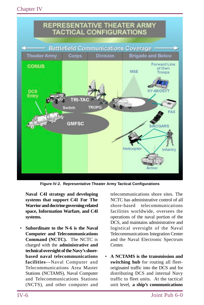## Chapter IV



**Figure IV-2. Representative Theater Army Tactical Configurations**

**Naval C4I strategy and developing systems that support C4I For The Warrior and doctrine governing related space, Information Warfare, and C4I systems.**

• **Subordinate to the N-6 is the Naval Computer and Telecommunications Command (NCTC).** The NCTC is charged with the **administrative and technical oversight of the Navy's shorebased naval telecommunications facilities**—Naval Computer and Telecommunications Area Master Stations (NCTAMS), Naval Computer and Telecommunications Stations (NCTS), and other computer and

telecommunications shore sites. The NCTC has administrative control of all shore-based telecommunications facilities worldwide, oversees the operations of the naval portion of the DCS, and maintains administrative and logistical oversight of the Naval Telecommunications Integration Center and the Naval Electronic Spectrum Center.

• **A NCTAMS is the transmission and switching hub** for routing all fleetoriginated traffic into the DCS and for distributing DCS and internal Navy traffic to fleet units. At the tactical unit level, **a ship's communications**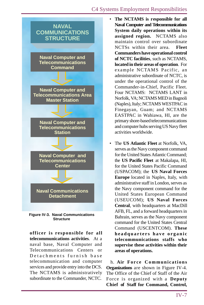## C4 Systems Employment Responsibilities



**Figure IV-3. Naval Communications Structure**

**officer is responsible for all telecommunications activities**. At a naval base, Naval Computer and Telecommunications Centers or Detachments furnish base telecommunication and computer services and provide entry into the DCS. The NCTAMS is administratively subordinate to the Commander, NCTC.

- **The NCTAMS is responsible for all Naval Computer and Telecommunications System daily operations within its assigned region.** NCTAMS also maintain control over subordinate NCTSs within their area. **Fleet Commanders have operational control of NCTC facilities**, such as NCTAMS, **located in their areas of operation**. For example NCTAMS Pacific, an administrative subordinate of NCTC, is under the operational control of the Commander-in-Chief, Pacific Fleet. Four NCTAMS: NCTAMS LANT in Norfolk, VA; NCTAMS MED in Bagnoli (Naples), Italy; NCTAMS WESTPAC in Finegayan, Guam; and NCTAMS EASTPAC in Wahiawa, HI, are the primary shore-based telecommunications and computer hubs serving US Navy fleet activities worldwide.
- The **US Atlantic Fleet** at Norfolk, VA, serves as the Navy component command for the United States Atlantic Command; the **US Pacific Fleet** at Makalapa, HI, for the United States Pacific Command (USPACOM); the **US Naval Forces Europe** located in Naples, Italy, with administrative staff in London, serves as the Navy component command for the United States European Command (USEUCOM); **US Naval Forces Central**, with headquarters at MacDill AFB, FL, and a forward headquarters in Bahrain, serves as the Navy component command for the United States Central Command (USCENTCOM). **These headquarters have organic telecommunications staffs who supervise these activities within their areas of operations.**

h. **Air Force Communications Organizations** are shown in Figure IV-4. The Office of the Chief of Staff of the Air Force is organized with a **Deputy Chief of Staff for Command, Control,**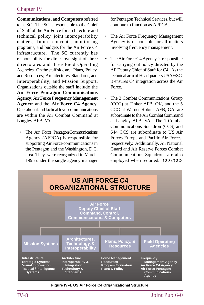**Communications, and Computers** referred to as SC. The SC is responsible to the Chief of Staff of the Air Force for architecture and technical policy, joint interoperability matters, future concepts, monitoring programs, and budgets for the Air Force C4 infrastructure. The SC currently has responsibility for direct oversight of three directorates and three Field Operating Agencies. On the staff side are: Plans, Policy, and Resources; Architectures, Standards, and Interoperability; and Mission Support. Organizations outside the staff include the **Air Force Pentagon Communications Agency**; **Air Force Frequency Management Agency**; and the **Air Force C4 Agency**. Operational and tactical level communications are within the Air Combat Command at Langley AFB, VA.

• The Air Force Pentagon Communications Agency (AFPCA) is responsible for supporting Air Force communications in the Pentagon and the Washington, D.C. area. They were reorganized in March, 1995 under the single agency manager for Pentagon Technical Services, but will continue to function as AFPCA.

- The Air Force Frequency Management Agency is responsible for all matters involving frequency management.
- The Air Force C4 Agency is responsible for carrying out policy directed by the AF Deputy Chief of Staff for C4. As the technical arm of Headquarters USAF/SC, it ensures C4 integration across the Air Force.
- The 3 Combat Communications Group (CCG) at Tinker AFB, OK, and the 5 CCG at Warner Robins AFB, GA, are subordinate to the Air Combat Command at Langley AFB, VA. The 1 Combat Communications Squadron (CCS) and 644 CCS are subordinate to US Air Forces Europe and Pacific Air Forces, respectively. Additionally, Air National Guard and Air Reserve Forces Combat Communications Squadrons are also employed when required. CCG/CCS



**Figure IV-4. US Air Force C4 Organizational Structure**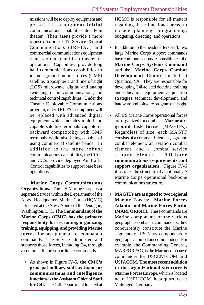missions will be to deploy equipment and personnel to augment initial communications capabilities already in theater. Their assets provide a more robust mixture of Tri-Service Tactical Communications (TRI-TAC) and commercial communications equipment than is often found in a theater of operations. Capabilities provide long haul communications capabilities to include ground mobile forces (GMF) satellite, tropospheric and line of sight (LOS) microwave, digital and analog switching, record communications, and technical control capabilities. Under the Theater Deployable Communications program, older TRI-TAC equipment will be replaced with advanced digital equipment which includes multi-band capable satellite terminals capable of backward compatibility with GMF terminals while also being capable of using commercial satellite bands. In addition to the more robust communications capabilities, the CCGs and CCSs provide deployed Air Traffic Control capabilities to support bare base operations.

i. **Marine Corps Communications Organizations.** The US Marine Corps is a separate Service within the Department of the Navy. Headquarters Marine Corps (HQMC) is located at the Navy Annex of the Pentagon, Washington, D.C. **The Commandant of the Marine Corps (CMC) has the primary responsibility for recruiting, organizing, training, equipping, and providing Marine forces** for assignment to combatant commands. The Service administers and supports those forces, including C4, through a senior staff and subordinate commands.

• As shown in Figure IV-5, **the CMC's principal military staff assistant for communications and intelligence functions is the Assistant Chief of Staff for C4I.** The C4I Department located at HQMC is responsible for all matters regarding these functional areas, to include planning, programming, budgeting, directing, and operations.

- In addition to the headquarters staff, two large Marine Corps support commands have communications responsibilities: the **Marine Corps Systems Command** and the **Marine Corps Combat Development Center** located at Quantico, VA. They are responsible for developing C4I-related doctrine, training and education, equipment acquisition strategies, technical development, and hardware and software program oversight.
- All US Marine Corps operational forces are organized for combat as **Marine airground task forces** (MAGTFs). Regardless of size, each MAGTF consists of a command element, a ground combat element, an aviation combat element, and a combat service support element. **All have communications requirements and support organizations.** Figure IV-6 illustrates the structure of a notional US Marine Corps operational backbone communications structure.
- **MAGTFs are assigned to two regional Marine Forces: Marine Forces Atlantic and Marine Forces Pacific (MARFORPAC).** These commands are Marine components of the various geographic combatant commanders; they concurrently constitute the Marine segments of US Navy components to geographic combatant commanders. For example, the Commanding General, MARFORPAC, is the Marine component commander for USCENTCOM and USPACOM. **The most recent addition to the organizational structure is Marine Forces Europe**, which is located near USEUCOM headquarters at Vaihingen, Germany.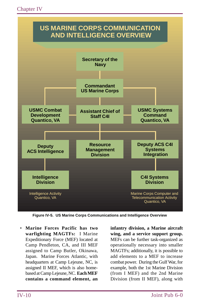

**Figure IV-5. US Marine Corps Communications and Intelligence Overview**

• **Marine Forces Pacific has two warfighting MAGTFs:** I Marine Expeditionary Force (MEF) located at Camp Pendleton, CA, and III MEF assigned to Camp Butler, Okinawa, Japan. Marine Forces Atlantic, with headquarters at Camp Lejeune, NC, is assigned II MEF, which is also homebased at Camp Lejeune, NC. **Each MEF contains a command element, an** **infantry division, a Marine aircraft wing, and a service support group.** MEFs can be further task-organized as operationally necessary into smaller MAGTFs; additionally, it is possible to add elements to a MEF to increase combat power. During the Gulf War, for example, both the 1st Marine Division (from I MEF) and the 2nd Marine Division (from II MEF), along with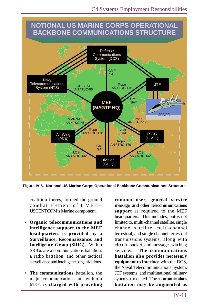

**Figure IV-6. Notional US Marine Corps Operational Backbone Communications Structure**

coalition forces, formed the ground combat element of I MEF— USCENTCOM's Marine component.

- **Organic telecommunications and intelligence support to the MEF headquarters is provided by a Surveillance, Reconnaissance, and Intelligence Group (SRIG).** Within SRIGs are a communications battalion, a radio battalion, and other tactical surveillance and intelligence organizations.
- **The communications** battalion, the major communications unit within a MEF, **is charged with providing**

**common-user, general service message, and other telecommunications support** as required to the MEF headquarters. This includes, but is not limited to, multi-channel satellite, single channel satellite, multi-channel terrestrial, and single channel terrestrial transmissions systems, along with circuit, packet, and message switching services. **The communications battalion also provides necessary equipment to interface** with the DCS, the Naval Telecommunications System, JTF systems, and multinational military systems as required. **The communications battalion may be augmented** as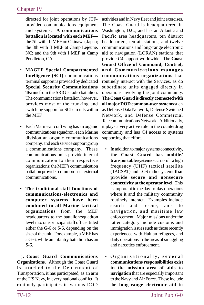directed for joint operations by JTFprovided communications equipment and systems. **A communications battalion is located with each MEF** the 7th with III MEF on Okinawa, Japan; the 8th with II MEF at Camp Lejeune, NC; and the 9th with I MEF at Camp Pendleton, CA.

- **MAGTF Special Compartmented Intelligence (SCI)** communications terminal support is provided by dedicated **Special Security Communications Teams** from the SRIG's radio battalion. The communications battalion, however, provides most of the trunking and switching support for SCI circuits within the MEF.
- Each Marine aircraft wing has an organic communications squadron, each Marine division an organic communications company, and each service support group a communications company. These communications units provide internal communication to their respective organizations; the MEF's communication battalion provides common-user external communications.
- **The traditional staff functions of communications-electronics and computer systems have been combined in all Marine tactical organizations** from the MEF headquarters to the battalion/squadron level into one principal staff officer titled either the G-6 or S-6, depending on the size of the unit. For example, a MEF has a G-6, while an infantry battalion has an S-6.

j. **Coast Guard Communications Organizations.** Although the Coast Guard is attached to the Department of Transportation, it has participated, as an arm of the US Navy, in every national conflict. It routinely participates in various DOD

activities and in Navy fleet and joint exercises. The Coast Guard is headquartered in Washington, D.C., and has an Atlantic and Pacific area headquarters, ten district headquarters, ten air stations, and twelve communications and long-range electronic aid to navigation (LORAN) stations that provide C4 support worldwide. The **Coast Guard Office of Command, Control, and Communications manages communications organizations** that routinely interact with the Services, as do subordinate units engaged directly in operations involving the joint community. **The Coast Guard is directly connected with all major DOD common-user systems** such as Defense Data Network, Defense Switched Network, and Defense Commercial Telecommunications Network. Additionally, it plays a very active role in the counterdrug community and has C4 access to systems supporting that effort.

- In addition to major systems connectivity, **the Coast Guard has mobile/ transportable systems** such as ultra high frequency (UHF) tactical satellite (TACSAT) and LOS radio systems **that provide secure and nonsecure connectivity at the operator level.** This is important to the day-to-day operations where it and the military community routinely interact. Examples include search and rescue, aids to navigation, and maritime law enforcement. Major missions under the latter category include customs and immigration issues such as those recently experienced with Haitian refugees, and daily operations in the areas of smuggling and narcotics enforcement.
- Organizationally, **several communications responsibilities exist in the mission area of aids to navigation** that are especially important to the Navy and Air Force. These include the **long-range electronic aid to**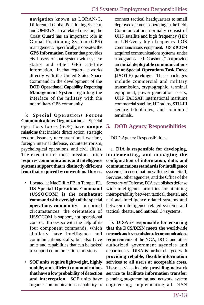**navigation** known as LORAN-C, Differential Global Positioning System, and OMEGA. In a related mission, the Coast Guard has an important role in Global Positioning System (GPS) management. Specifically, it operates the **GPS Information Center** that provides civil users of that system with system status and other GPS satellite information. In that regard, it works directly with the United States Space Command in the development of the **DOD Operational Capability Reporting Management System** regarding the interface of the military with the nonmilitary GPS community.

k . **Special Operations Forces Communications Organizations.** Special operations forces (SOF) have **unique missions** that include direct action, strategic reconnaissance, unconventional warfare, foreign internal defense, counterterrorism, psychological operations, and civil affairs. The execution of these missions often **requires communications and intelligence systems support that is distinctly different from that required by conventional forces**.

- Located at MacDill AFB in Tampa, FL, **US Special Operations Command (USSOCOM) is the combatant command with oversight of the special operations community**. In normal circumstances, the orientation of USSOCOM is support, not operational control. It does so with the help of its four component commands, which similarly have intelligence and communications staffs, but also have units and capabilities that can be tasked to support communications missions.
- **SOF units require lightweight, highly mobile, and efficient communications that have a low probability of detection and interception.** SOF units have organic communications capability to

connect tactical headquarters to small deployed elements operating in the field. Communications normally consist of UHF satellite and high frequency (HF) or UHF/very high frequency LOS communications equipment. USSOCOM acquired communications systems under a program called "Crashout," that provide an **initial deployable communications Joint Special Operations Task Force (JSOTF) package**. These packages include commercial and military transmission, cryptographic, terminal equipment, power generation assets, UHF TACSAT, international maritime commercial satellite, HF radios, STU-III secure telephones, and computer terminals.

## **5. DOD Agency Responsibilities**

DOD Agency Responsibilities:

a. **DIA is responsible for developing, implementing, and managing the configuration of information, data, and communications standards for intelligence systems**, in coordination with the Joint Staff, Services, other agencies, and the Office of the Secretary of Defense. DIA establishes defense wide intelligence priorities for attaining interoperability between tactical, theater, and national intelligence related systems and between intelligence related systems and tactical, theater, and national C4 systems.

b. **DISA is responsible for ensuring that the DCS/DISN meets the worldwide network and transmission telecommunications requirements** of the NCA, DOD, and other authorized government agencies and departments. DISA is further charged with **providing reliable, flexible information services to all users at acceptable costs**. These services include **providing network service to facilitate information transfer**; planning, programming, and network system engineering; implementing all DISN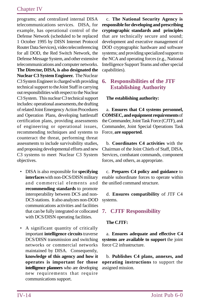programs; and centralized internal DISA telecommunications services. DISA, for example, has operational control of the Defense Network (scheduled to be replaced 1 October 1995 by DISN Internet Protocol Router Data Services), video teleconferencing for all DOD, the Red Switch Network, the Defense Message System, and other extensive telecommunications and computer networks. **The Director, DISA, is also designated the Nuclear C3 System Engineer.** The Nuclear C3 System Engineer is charged with providing technical support to the Joint Staff in carrying out responsibilities with respect to the Nuclear C3 System. This nuclear C3 technical support includes: operational assessments, the drafting of related Joint Emergency Action Procedures and Operation Plans, developing battlestaff certification plans, providing assessments of engineering or operational issues, recommending techniques and systems to counteract the threat, performing threat assessments to include survivability studies, and proposing developmental efforts and new C3 systems to meet Nuclear C3 System objectives.

- DISA is also responsible for **specifying interfaces** with non-DCS/DISN military and commercial elements and **recommending standards** to promote interoperability between DCS and non-DCS stations. It also analyzes non-DOD communications activities and facilities that can be fully integrated or collocated with DCS/DISN operating facilities.
- A significant quantity of critically important **intelligence circuits** traverse DCS/DISN transmission and switching networks or commercial networks maintained by DISA. Consequently, **knowledge of this agency and how it operates is important for those intelligence planners** who are developing new requirements that require communications support.

c. **The National Security Agency is responsible for developing and prescribing cryptographic standards and principles** that are technically secure and sound; development and executive management of DOD cryptographic hardware and software systems; and providing specialized support to the NCA and operating forces (e.g., National Intelligence Support Teams and other special capabilities).

## **6. Responsibilities of the JTF Establishing Authority**

**The establishing authority:**

a. **Ensures that C4 systems personnel, COMSEC, and equipment requirements** of the Commander, Joint Task Force (CJTF), and Commander, Joint Special Operations Task Force, **are supported**.

b. **Coordinates C4 activities** with the Chairman of the Joint Chiefs of Staff, DISA, Services, combatant commands, component forces, and others, as appropriate.

c. **Prepares C4 policy and guidance** to enable subordinate forces to operate within the unified command structure.

d. **Ensures compatibility** of JTF C4 systems.

## **7. CJTF Responsibility**

### **The CJTF:**

a. **Ensures adequate and effective C4 systems are available to support** the joint force C2 infrastructure.

b. **Publishes C4 plans, annexes, and operating instructions** to support the assigned mission.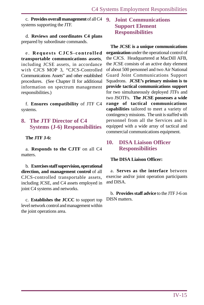c. **Provides overall management** of all C4 systems supporting the JTF.

d. **Reviews and coordinates C4 plans** prepared by subordinate commands.

e . **Requests CJCS-controlled transportable communications assets**, including JCSE assets, in accordance with CJCS MOP 3, "CJCS-Controlled Communications Assets" and other established procedures. (See Chapter II for additional information on spectrum management responsibilities.)

f. **Ensures compatibility** of JTF C4 systems.

## **8. The JTF Director of C4 Systems (J-6) Responsibilities**

**The JTF J-6:**

a. **Responds to the CJTF** on all C4 matters.

b. **Exercises staff supervision, operational direction, and management control** of all CJCS-controlled transportable assets, including JCSE, and C4 assets employed in joint C4 systems and networks.

c. **Establishes the JCCC** to support top level network control and management within the joint operations area.

## **9. Joint Communications Support Element Responsibilities**

**The JCSE is a unique communications organization** under the operational control of the CJCS. Headquartered at MacDill AFB, the JCSE consists of an active duty element of about 500 personnel and two Air National Guard Joint Communications Support Squadrons. **JCSE's primary mission is to provide tactical communications support** for two simultaneously deployed JTFs and two JSOTFs. **The JCSE possesses a wide range of tactical communications capabilities** tailored to meet a variety of contingency missions. The unit is staffed with personnel from all the Services and is equipped with a wide array of tactical and commercial communications equipment.

## **10. DISA Liaison Officer Responsibilities**

### **The DISA Liaison Officer:**

a. **Serves as the interface** between exercise and/or joint operation participants and DISA.

b. **Provides staff advice** to the JTF J-6 on DISN matters.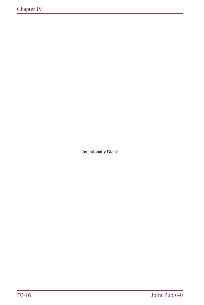Intentionally Blank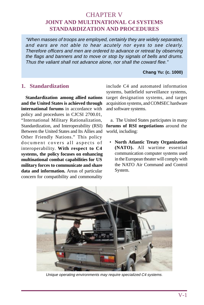# CHAPTER V **JOINT AND MULTINATIONAL C4 SYSTEMS STANDARDIZATION AND PROCEDURES**

"When masses of troops are employed, certainly they are widely separated, and ears are not able to hear acutely nor eyes to see clearly. Therefore officers and men are ordered to advance or retreat by observing the flags and banners and to move or stop by signals of bells and drums. Thus the valiant shall not advance alone, nor shall the coward flee."

#### **Chang Yu: (c. 1000)**

## **1. Standardization**

**Standardization among allied nations and the United States is achieved through international forums** in accordance with policy and procedures in CJCSI 2700.01, "International Military Rationalization, Standardization, and Interoperability (RSI) Between the United States and Its Allies and Other Friendly Nations." This policy document covers all aspects of interoperability. **With respect to C4 systems, the policy focuses on enhancing multinational combat capabilities for US military forces to communicate and share data and information.** Areas of particular concern for compatibility and commonality

include C4 and automated information systems, battlefield surveillance systems, target designation systems, and target acquisition systems, and COMSEC hardware and software systems.

a. The United States participates in many **forums of RSI negotiations** around the world, including:

• **North Atlantic Treaty Organization (NATO).** All wartime essential communication computer systems used in the European theater will comply with the NATO Air Command and Control System.



Unique operating environments may require specialized C4 systems.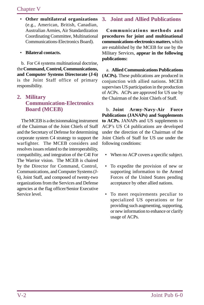• **Other multilateral organizations** (e.g., American, British, Canadian, Australian Armies, Air Standardization Coordinating Committee, Multinational Communications-Electronics Board).

### • **Bilateral contacts.**

b. For C4 systems multinational doctrine, the **Command, Control, Communications, and Computer Systems Directorate (J-6)** is the Joint Staff office of primary responsibility.

## **2. Military Communication-Electronics Board (MCEB)**

The MCEB is a decisionmaking instrument of the Chairman of the Joint Chiefs of Staff and the Secretary of Defense for determining corporate system C4 strategy to support the warfighter. The MCEB considers and resolves issues related to the interoperability, compatibility, and integration of the C4I For The Warrior vision. The MCEB is chaired by the Director for Command, Control, Communications, and Computer Systems (J-6), Joint Staff, and composed of twenty-two organizations from the Services and Defense agencies at the flag officer/Senior Executive Service level.

## **3. Joint and Allied Publications**

**Communications methods and procedures for joint and multinational communications-electronics matters**, which are established by the MCEB for use by the Military Services, **appear in the following publications:**

a. **Allied Communications Publications (ACPs).** These publications are produced in conjunction with allied nations. MCEB supervises US participation in the production of ACPs. ACPs are approved for US use by the Chairman of the Joint Chiefs of Staff.

b. **Joint Army-Navy-Air Force Publications (JANAPs) and Supplements to ACPs.** JANAPs and US supplements to ACP's US C4 publications are developed under the direction of the Chairman of the Joint Chiefs of Staff for US use under the following conditions:

- When no ACP covers a specific subject.
- To expedite the provision of new or supporting information to the Armed Forces of the United States pending acceptance by other allied nations.
- To meet requirements peculiar to specialized US operations or for providing such augmenting, supporting, or new information to enhance or clarify usage of ACPs.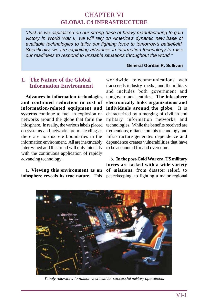# CHAPTER VI **GLOBAL C4 INFRASTRUCTURE**

"Just as we capitalized on our strong base of heavy manufacturing to gain victory in World War II, we will rely on America's dynamic new base of available technologies to tailor our fighting force to tomorrow's battlefield. Specifically, we are exploiting advances in information technology to raise our readiness to respond to unstable situations throughout the world."

#### **General Gordan R. Sullivan**

## **1. The Nature of the Global Information Environment**

**Advances in information technologies and continued reduction in cost of information-related equipment and systems** continue to fuel an explosion of networks around the globe that form the infosphere. In reality, the various labels placed on systems and networks are misleading as there are no discrete boundaries in the information environment. All are inextricably intertwined and this trend will only intensify with the continuous application of rapidly advancing technology.

a. **Viewing this environment as an**

worldwide telecommunications web transcends industry, media, and the military and includes both government and nongovernment entities**. The infosphere electronically links organizations and individuals around the globe.** It is characterized by a merging of civilian and military information networks and technologies. While the benefits received are tremendous, reliance on this technology and infrastructure generates dependence and dependence creates vulnerabilities that have to be accounted for and overcome.

**infosphere reveals its true nature.** This peacekeeping, to fighting a major regional b. **In the post-Cold War era, US military forces are tasked with a wide variety of missions**, from disaster relief, to



Timely relevant information is critical for successful military operations.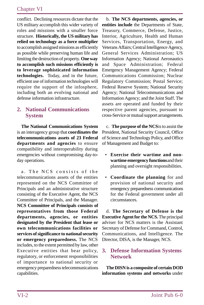conflict. Declining resources dictate that the US military accomplish this wider variety of roles and missions with a smaller force structure. **Historically, the US military has relied on technology as a force multiplier** to accomplish assigned missions as efficiently as possible while preserving human life and limiting the destruction of property. **One way to accomplish such missions efficiently is to leverage sophisticated information technologies.** Today, and in the future, efficient use of information technologies will require the support of the infosphere, including both an evolving national and defense information infrastructure.

## **2. National Communications System**

**The National Communications System** is an interagency group that **coordinates the telecommunications assets of 23 Federal departments and agencies** to ensure compatibility and interoperability during emergencies without compromising day-today operations.

a. The NCS consists of the telecommunications assets of the entities represented on the NCS Committee of Principals and an administrative structure consisting of the Executive Agent, the NCS Committee of Principals, and the Manager. **NCS Committee of Principals consists of representatives from those Federal departments, agencies, or entities designated by the President that lease or own telecommunications facilities or services of significance to national security or emergency preparedness.** The NCS includes, to the extent permitted by law, other Executive entities that bear policy, regulatory, or enforcement responsibilities of importance to national security or emergency preparedness telecommunications capabilities.

b. **The NCS departments, agencies, or entities include** the Departments of State, Treasury, Commerce, Defense, Justice, Interior, Agriculture, Health and Human Services, Transportation, Energy, and Veterans Affairs; Central Intelligence Agency, General Services Administration; US Information Agency; National Aeronautics and Space Administration; Federal Emergency Management Agency; Federal Communications Commission; Nuclear Regulatory Commission; Postal Service; Federal Reserve System; National Security Agency; National Telecommunications and Information Agency; and the Joint Staff. The assets are operated and funded by their respective parent agencies, pursuant to cross-Service or mutual support arrangements.

c. **The purpose of the NCS** is to assist the President, National Security Council, Office of Science and Technology Policy, and Office of Management and Budget to:

- **Exercise their wartime and nonwartime emergency functions** and their planning and oversight responsibilities.
- **Coordinate the planning** for and provision of national security and emergency preparedness communications for the Federal government under all circumstances.

d. **The Secretary of Defense is the Executive Agent for the NCS.** The principal adviser for NCS matters is the Assistant Secretary of Defense for Command, Control, Communications, and Intelligence. The Director, DISA, is the Manager, NCS.

## **3. Defense Information Systems Network**

**The DISN is a composite of certain DOD information systems and networks** under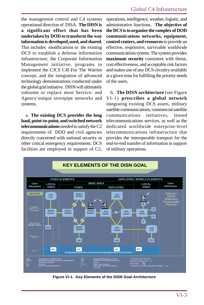the management control and C4 systems operational direction of DISA. **The DISN is a significant effort that has been undertaken by DOD to transform the way information is developed, used, and shared.** This includes modifications to the existing DCS to establish a defense information infrastructure, the Corporate Information Management initiative, programs to implement the CJCS C4I For The Warrior concept, and the integration of advanced technology demonstrations conducted under the global grid initiative. DISN will ultimately subsume or replace most Service- and Agency-unique stovepipe networks and systems.

a. **The existing DCS provides the long haul, point-to-point, and switched network telecommunications** needed to satisfy the C2 requirements of DOD and civil agencies directly concerned with national security or other critical emergency requirements. DCS facilities are employed in support of C2, operations, intelligence, weather, logistic, and administrative functions. **The objective of the DCS is to organize the complex of DOD communications networks, equipment, control centers, and resources** to provide an effective, responsive, survivable worldwide communications system. The system provides **maximum security** consistent with threat, cost effectiveness, and acceptable risk factors and makes use of any DCS circuitry available at a given time for fulfilling the priority needs of the users.

b. **The DISN architecture** (see Figure VI-1) **prescribes a global network** integrating existing DCS assets, military satellite communications, commercial satellite communications initiatives, leased telecommunications services, as well as the dedicated worldwide enterprise-level telecommunications infrastructure that provides the interoperable transport for the end-to-end transfer of information in support of military operations.



**Figure VI-1. Key Elements of the DISN Goal Architecture**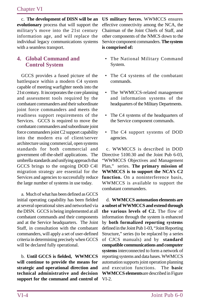c. **The development of DISN will be an evolutionary** process that will support the military's move into the 21st century information age, and will replace the individual legacy communications systems with a seamless transport.

## **4. Global Command and Control System**

GCCS provides a fused picture of the battlespace within a modern C4 system capable of meeting warfighter needs into the 21st century. It incorporates the core planning and assessment tools required by the combatant commanders and their subordinate joint force commanders and meets the readiness support requirements of the Services. GCCS is required to move the combatant commanders and subordinate joint force commanders joint C2 support capability into the modern era of client/server architecture using commercial, open systems standards for both commercial and government off-the-shelf applications. The umbrella standards and unifying approach that GCCS brings to the ongoing DOD C4I migration strategy are essential for the Services and agencies to successfully reduce the large number of systems in use today.

a. Much of what has been defined as GCCS initial operating capability has been fielded at several operational sites and networked via the DISN. GCCS is being implemented at all combatant commands and their components and at the Service headquarters. The Joint Staff, in consultation with the combatant commanders, will apply a set of user-defined criteria in determining precisely when GCCS will be declared fully operational.

b. **Until GCCS is fielded, WWMCCS will continue to provide the means for strategic and operational direction and technical administrative and decision support for the command and control of** **US military forces.** WWMCCS ensures effective connectivity among the NCA, the Chairman of the Joint Chiefs of Staff, and other components of the NMCS down to the Service component commanders. **The system is comprised of:**

- The National Military Command System.
- The C4 systems of the combatant commands.
- The WWMCCS-related management and information systems of the headquarters of the Military Departments.
- The C4 systems of the headquarters of the Service component commands.
- The C4 support systems of DOD agencies.

c. WWMCCS is described in DOD Directive 5100.30 and the Joint Pub 6-03, "WWMCCS Objectives and Management Plan," series. **The primary mission of WWMCCS is to support the NCA's C2 function.** On a noninterference basis, WWMCCS is available to support the combatant commanders.

d. **WWMCCS automation elements are a subset of WWMCCS and extend through the various levels of C2.** The flow of information through the system is enhanced by **both formalized reporting systems** defined in the Joint Pub 1-03, "Joint Reporting Structure," series (to be replaced by a series of CJCS manuals) and by **standard compatible communications and computer systems** interconnected to form a network of reporting systems and data bases. WWMCCS automation supports joint operation planning and execution functions. The **basic WWMCCS elements** are described in Figure VI-2.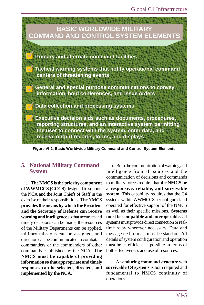

**Figure VI-2. Basic Worldwide Military Command and Control System Elements**

#### **5. National Military Command System**

a. **The NMCS is the priority component of WWMCCS (GCCS)** designed to support the NCA and the Joint Chiefs of Staff in the exercise of their responsibilities. **The NMCS provides the means by which the President and the Secretary of Defense can receive warning and intelligence** so that accurate and timely decisions can be made, the resources of the Military Departments can be applied, military missions can be assigned, and direction can be communicated to combatant commanders or the commanders of other commands established by the NCA. **The NMCS must be capable of providing information so that appropriate and timely responses can be selected, directed, and implemented by the NCA.**

b. Both the communication of warning and intelligence from all sources and the communication of decisions and commands to military forces require that **the NMCS be a responsive, reliable, and survivable system**. This capability requires that the C4 systems within WWMCCS be configured and operated for effective support of the NMCS as well as their specific missions. **Systems must be compatible and interoperable.** C4 systems must provide direct connection or realtime relay wherever necessary. Data and message text formats must be standard. All details of system configuration and operation must be as efficient as possible in terms of both effectiveness and use of resources.

c. An **enduring command structure** with **survivable C4 systems** is both required and fundamental to NMCS continuity of operations.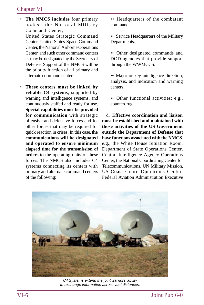#### Chapter VI

• **The NMCS includes** four primary nodes—the National Military Command Center,

United States Strategic Command Center, United States Space Command Center, the National Airborne Operations Center, and such other command centers as may be designated by the Secretary of Defense. Support of the NMCS will be the priority function of all primary and alternate command centers.

• **These centers must be linked by reliable C4 systems**, supported by warning and intelligence systems, and continuously staffed and ready for use. **Special capabilities must be provided for communication** with strategic offensive and defensive forces and for other forces that may be required for quick reaction in crises. In this case, **the communications will be designated and operated to ensure minimum elapsed time for the transmission of orders** to the operating units of these forces. The NMCS also includes C4 systems connecting its centers with primary and alternate command centers of the following:

•• Headquarters of the combatant commands.

- •• Service Headquarters of the Military Departments.
- •• Other designated commands and DOD agencies that provide support through the WWMCCS.
- •• Major or key intelligence direction, analysis, and indication and warning centers.
- Other functional activities; e.g., counterdrug.

d. **Effective coordination and liaison must be established and maintained with those activities of the US Government outside the Department of Defense that have functions associated with the NMCS**; e.g., the White House Situation Room, Department of State Operations Center, Central Intelligence Agency Operations Center, the National Coordinating Center for Telecommunications, UN Military Mission, US Coast Guard Operations Center, Federal Aviation Administration Executive



C4 Systems extend the joint warriors' ability to exchange information across vast distances.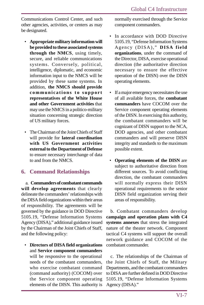Communications Control Center, and such other agencies, activities, or centers as may be designated.

- **Appropriate military information will be provided to these associated systems through the NMCS**, using timely, secure, and reliable communications systems. Conversely, political, intelligence, diplomatic, and economic information input to the NMCS will be provided by these same systems. In addition, **the NMCS should provide communications to support representatives of the White House and other Government activities** that may use the NMCS in a politico-military situation concerning strategic direction of US military forces.
- The Chairman of the Joint Chiefs of Staff will provide for **lateral coordination with US Government activities external to the Department of Defense** to ensure necessary interchange of data to and from the NMCS.

### **6. Command Relationships**

a. **Commanders of combatant commands will develop agreements** that clearly delineate the commanders' relationships with the DISA field organizations within their areas of responsibility. The agreements will be governed by the guidance in DOD Directive 5105.19, "Defense Information Systems Agency (DISA)," additional guidance issued by the Chairman of the Joint Chiefs of Staff, and the following policy:

• **Directors of DISA field organizations** and **Service component commanders** will be responsive to the operational needs of the combatant commanders, who exercise combatant command (command authority) (COCOM) over the Service component operating elements of the DISN. This authority is normally exercised through the Service component commanders.

- In accordance with DOD Directive 5105.19, "Defense Information Systems Agency (DISA)," **DISA field organizations**, under the command of the Director, DISA, exercise operational direction (the authoritative direction necessary to ensure the effective operation of the DISN) over the DISN operating elements.
- If a major emergency necessitates the use of all available forces, the **combatant commanders** have COCOM over the Service component operating elements of the DISN. In exercising this authority, the combatant commanders will be cognizant of DISN support to the NCA, DOD agencies, and other combatant commanders and will preserve DISN integrity and standards to the maximum possible extent.
- **Operating elements of the DISN** are subject to authoritative direction from different sources. To avoid conflicting direction, the combatant commanders will normally express their DISN operational requirements to the senior DISN field organization serving their areas of responsibility.

b. Combatant commanders develop **campaign and operation plans with C4 systems annexes** that stress the integrated nature of the theater network. Component tactical C4 systems will support the overall network guidance and COCOM of the combatant commander.

c. The relationships of the Chairman of the Joint Chiefs of Staff, the Military Departments, and the combatant commanders to DISA are further defined in DOD Directive 5105.19, "Defense Information Systems Agency (DISA)."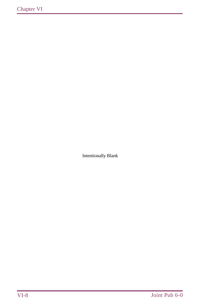Intentionally Blank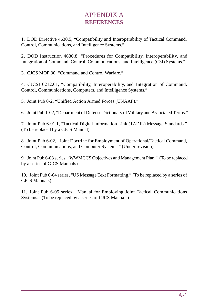# APPENDIX A **REFERENCES**

1. DOD Directive 4630.5, "Compatibility and Interoperability of Tactical Command, Control, Communications, and Intelligence Systems."

2. DOD Instruction 4630.8, "Procedures for Compatibility, Interoperability, and Integration of Command, Control, Communications, and Intelligence (C3I) Systems."

3. CJCS MOP 30, "Command and Control Warfare."

4. CJCSI 6212.01, "Compatibility, Interoperability, and Integration of Command, Control, Communications, Computers, and Intelligence Systems."

5. Joint Pub 0-2, "Unified Action Armed Forces (UNAAF)."

6. Joint Pub 1-02, "Department of Defense Dictionary of Military and Associated Terms."

7. Joint Pub 6-01.1, "Tactical Digital Information Link (TADIL) Message Standards." (To be replaced by a CJCS Manual)

8. Joint Pub 6-02, "Joint Doctrine for Employment of Operational/Tactical Command, Control, Communications, and Computer Systems." (Under revision)

9. Joint Pub 6-03 series, "WWMCCS Objectives and Management Plan." (To be replaced by a series of CJCS Manuals)

10. Joint Pub 6-04 series, "US Message Text Formatting." (To be replaced by a series of CJCS Manuals)

11. Joint Pub 6-05 series, "Manual for Employing Joint Tactical Communications Systems." (To be replaced by a series of CJCS Manuals)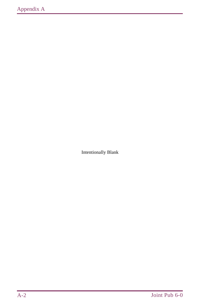Intentionally Blank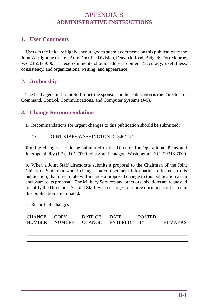# APPENDIX B **ADMINISTRATIVE INSTRUCTIONS**

### **1. User Comments**

Users in the field are highly encouraged to submit comments on this publication to the Joint Warfighting Center, Attn: Doctrine Division, Fenwick Road, Bldg 96, Fort Monroe, VA 23651-5000. These comments should address content (accuracy, usefulness, consistency, and organization), writing, and appearance.

### **2. Authorship**

The lead agent and Joint Staff doctrine sponsor for this publication is the Director for Command, Control, Communications, and Computer Systems (J-6).

### **3. Change Recommendations**

a. Recommendations for urgent changes to this publication should be submitted:

#### TO: JOINT STAFF WASHINGTON DC//J6/J7//

Routine changes should be submitted to the Director for Operational Plans and Interoperability (J-7), JDD, 7000 Joint Staff Pentagon, Washington, D.C. 20318-7000.

b. When a Joint Staff directorate submits a proposal to the Chairman of the Joint Chiefs of Staff that would change source document information reflected in this publication, that directorate will include a proposed change to this publication as an enclosure to its proposal. The Military Services and other organizations are requested to notify the Director, J-7, Joint Staff, when changes to source documents reflected in this publication are initiated.

c. Record of Changes

| CHANGE | <b>COPY</b><br>NUMBER NUMBER CHANGE | DATE OF | <b>DATE</b><br><b>ENTERED</b> | <b>POSTED</b><br>- RY | <b>REMARKS</b> |
|--------|-------------------------------------|---------|-------------------------------|-----------------------|----------------|
|--------|-------------------------------------|---------|-------------------------------|-----------------------|----------------|

\_\_\_\_\_\_\_\_\_\_\_\_\_\_\_\_\_\_\_\_\_\_\_\_\_\_\_\_\_\_\_\_\_\_\_\_\_\_\_\_\_\_\_\_\_\_\_\_\_\_\_\_\_\_\_\_\_\_\_\_\_\_\_\_\_\_\_\_\_\_ \_\_\_\_\_\_\_\_\_\_\_\_\_\_\_\_\_\_\_\_\_\_\_\_\_\_\_\_\_\_\_\_\_\_\_\_\_\_\_\_\_\_\_\_\_\_\_\_\_\_\_\_\_\_\_\_\_\_\_\_\_\_\_\_\_\_\_\_\_\_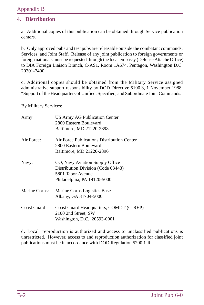## **4. Distribution**

a. Additional copies of this publication can be obtained through Service publication centers.

b. Only approved pubs and test pubs are releasable outside the combatant commands, Services, and Joint Staff. Release of any joint publication to foreign governments or foreign nationals must be requested through the local embassy (Defense Attache Office) to DIA Foreign Liaison Branch, C-AS1, Room 1A674, Pentagon, Washington D.C. 20301-7400.

c. Additional copies should be obtained from the Military Service assigned administrative support responsibility by DOD Directive 5100.3, 1 November 1988, "Support of the Headquarters of Unified, Specified, and Subordinate Joint Commands."

By Military Services:

| Army:         | US Army AG Publication Center<br>2800 Eastern Boulevard<br>Baltimore, MD 21220-2898                                       |
|---------------|---------------------------------------------------------------------------------------------------------------------------|
| Air Force:    | Air Force Publications Distribution Center<br>2800 Eastern Boulevard<br>Baltimore, MD 21220-2896                          |
| Navy:         | CO, Navy Aviation Supply Office<br>Distribution Division (Code 03443)<br>5801 Tabor Avenue<br>Philadelphia, PA 19120-5000 |
| Marine Corps: | Marine Corps Logistics Base<br>Albany, GA 31704-5000                                                                      |
| Coast Guard:  | Coast Guard Headquarters, COMDT (G-REP)<br>2100 2nd Street, SW<br>Washington, D.C. 20593-0001                             |

d. Local reproduction is authorized and access to unclassified publications is unrestricted. However, access to and reproduction authorization for classified joint publications must be in accordance with DOD Regulation 5200.1-R.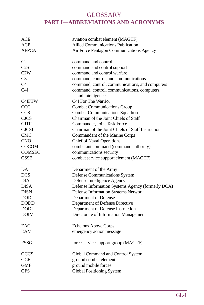# **GLOSSARY PART I—ABBREVIATIONS AND ACRONYMS**

| ACE            | aviation combat element (MAGTF)                                  |  |
|----------------|------------------------------------------------------------------|--|
| ACP            | <b>Allied Communications Publication</b>                         |  |
| <b>AFPCA</b>   | Air Force Pentagon Communications Agency                         |  |
| C2             | command and control                                              |  |
| C2S            | command and control support                                      |  |
| C2W            | command and control warfare                                      |  |
| C <sub>3</sub> | command, control, and communications                             |  |
| C <sub>4</sub> | command, control, communications, and computers                  |  |
| C4I            | command, control, communications, computers,<br>and intelligence |  |
| <b>C4IFTW</b>  | <b>C4I For The Warrior</b>                                       |  |
| CCG            | <b>Combat Communications Group</b>                               |  |
| <b>CCS</b>     | <b>Combat Communications Squadron</b>                            |  |
| <b>CJCS</b>    | Chairman of the Joint Chiefs of Staff                            |  |
| <b>CJTF</b>    | Commander, Joint Task Force                                      |  |
| CJCSI          | Chairman of the Joint Chiefs of Staff Instruction                |  |
| CMC            | Commandant of the Marine Corps                                   |  |
| CNO            | <b>Chief of Naval Operations</b>                                 |  |
| <b>COCOM</b>   | combatant command (command authority)                            |  |
| <b>COMSEC</b>  | communications security                                          |  |
| CSSE           | combat service support element (MAGTF)                           |  |
| DA             | Department of the Army                                           |  |
| <b>DCS</b>     | Defense Communications System                                    |  |
| DIA            | Defense Intelligence Agency                                      |  |
| <b>DISA</b>    | Defense Information Systems Agency (formerly DCA)                |  |
| <b>DISN</b>    | Defense Information Systems Network                              |  |
| DOD            | Department of Defense                                            |  |
| DODD           | Department of Defense Directive                                  |  |
| DODI           | Department of Defense Instruction                                |  |
| <b>DOIM</b>    | Directorate of Information Management                            |  |
| EAC            | <b>Echelons Above Corps</b>                                      |  |
| EAM            | emergency action message                                         |  |
| FSSG           | force service support group (MAGTF)                              |  |
| <b>GCCS</b>    | Global Command and Control System                                |  |
| <b>GCE</b>     | ground combat element                                            |  |
| GMF            | ground mobile forces                                             |  |
| <b>GPS</b>     | <b>Global Positioning System</b>                                 |  |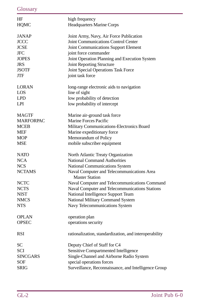# **Glossary**

| ΗF               | high frequency                                                      |
|------------------|---------------------------------------------------------------------|
| <b>HQMC</b>      | <b>Headquarters Marine Corps</b>                                    |
| <b>JANAP</b>     | Joint Army, Navy, Air Force Publication                             |
| <b>JCCC</b>      | <b>Joint Communications Control Center</b>                          |
| <b>JCSE</b>      | Joint Communications Support Element                                |
| <b>JFC</b>       | joint force commander                                               |
| <b>JOPES</b>     | Joint Operation Planning and Execution System                       |
| <b>JRS</b>       | Joint Reporting Structure                                           |
| <b>JSOTF</b>     | Joint Special Operations Task Force                                 |
| <b>JTF</b>       | joint task force                                                    |
| LORAN            | long-range electronic aids to navigation                            |
| LOS              | line of sight                                                       |
| <b>LPD</b>       | low probability of detection                                        |
| <b>LPI</b>       | low probability of intercept                                        |
| <b>MAGTF</b>     | Marine air-ground task force                                        |
| <b>MARFORPAC</b> | <b>Marine Forces Pacific</b>                                        |
| <b>MCEB</b>      | Military Communications-Electronics Board                           |
| MEF              |                                                                     |
| <b>MOP</b>       | Marine expeditionary force                                          |
|                  | Memorandum of Policy                                                |
| <b>MSE</b>       | mobile subscriber equipment                                         |
| NATO             | North Atlantic Treaty Organization                                  |
| <b>NCA</b>       | <b>National Command Authorities</b>                                 |
| <b>NCS</b>       | National Communications System                                      |
| <b>NCTAMS</b>    | Naval Computer and Telecommunications Area<br><b>Master Station</b> |
| <b>NCTC</b>      | Naval Computer and Telecommunications Command                       |
| <b>NCTS</b>      | Naval Computer and Telecommunications Stations                      |
| <b>NIST</b>      | National Intelligence Support Team                                  |
| <b>NMCS</b>      | National Military Command System                                    |
| <b>NTS</b>       | Navy Telecommunications System                                      |
| <b>OPLAN</b>     | operation plan                                                      |
| <b>OPSEC</b>     | operations security                                                 |
| <b>RSI</b>       | rationalization, standardization, and interoperability              |
| SC               | Deputy Chief of Staff for C4                                        |
| SCI              | Sensitive Compartmented Intelligence                                |
| <b>SINCGARS</b>  | Single-Channel and Airborne Radio System                            |
| <b>SOF</b>       | special operations forces                                           |
| <b>SRIG</b>      | Surveillance, Reconnaissance, and Intelligence Group                |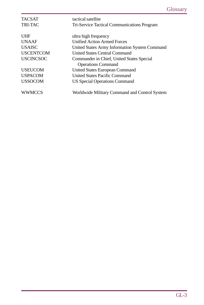| <b>TACSAT</b><br><b>TRI-TAC</b> | tactical satellite<br>Tri-Service Tactical Communications Program |
|---------------------------------|-------------------------------------------------------------------|
| <b>UHF</b>                      |                                                                   |
| <b>UNAAF</b>                    | ultra high frequency<br><b>Unified Action Armed Forces</b>        |
|                                 |                                                                   |
| <b>USAISC</b>                   | United States Army Information System Command                     |
| <b>USCENTCOM</b>                | United States Central Command                                     |
| <b>USCINCSOC</b>                | Commander in Chief, United States Special                         |
|                                 | <b>Operations Command</b>                                         |
| <b>USEUCOM</b>                  | <b>United States European Command</b>                             |
| <b>USPACOM</b>                  | United States Pacific Command                                     |
| <b>USSOCOM</b>                  | <b>US Special Operations Command</b>                              |
| WWMCCS                          | Worldwide Military Command and Control System                     |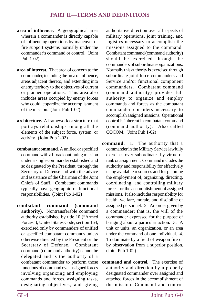### **PART II—TERMS AND DEFINITIONS**

- **area of influence.** A geographical area wherein a commander is directly capable of influencing operations by maneuver or fire support systems normally under the commander's command or control. (Joint Pub 1-02)
- **area of interest.** That area of concern to the commander, including the area of influence, areas adjacent thereto, and extending into enemy territory to the objectives of current or planned operations. This area also includes areas occupied by enemy forces who could jeopardize the accomplishment of the mission. (Joint Pub 1-02)
- **architecture.** A framework or structure that portrays relationships among all the elements of the subject force, system, or activity. (Joint Pub 1-02)
- **combatant command.** A unified or specified command with a broad continuing mission under a single commander established and so designated by the President, through the Secretary of Defense and with the advice and assistance of the Chairman of the Joint Chiefs of Staff. Combatant commands typically have geographic or functional responsibilities. (Joint Pub 1-02)
- **combatant command (command authority).** Nontransferable command authority established by title 10 ("Armed Forces"), United States Code, section 164, exercised only by commanders of unified or specified combatant commands unless otherwise directed by the President or the Secretary of Defense. Combatant command (command authority) cannot be delegated and is the authority of a combatant commander to perform those functions of command over assigned forces involving organizing and employing commands and forces, assigning tasks, designating objectives, and giving

authoritative direction over all aspects of military operations, joint training, and logistics necessary to accomplish the missions assigned to the command. Combatant command (command authority) should be exercised through the commanders of subordinate organizations. Normally this authority is exercised through subordinate joint force commanders and Service and/or functional component commanders. Combatant command (command authority) provides full authority to organize and employ commands and forces as the combatant commander considers necessary to accomplish assigned missions. Operational control is inherent in combatant command (command authority). Also called COCOM. (Joint Pub 1-02)

- **command.** 1. The authority that a commander in the Military Service lawfully exercises over subordinates by virtue of rank or assignment. Command includes the authority and responsibility for effectively using available resources and for planning the employment of, organizing, directing, coordinating, and controlling military forces for the accomplishment of assigned missions. It also includes responsibility for health, welfare, morale, and discipline of assigned personnel. 2. An order given by a commander; that is, the will of the commander expressed for the purpose of bringing about a particular action. 3. A unit or units, an organization, or an area under the command of one individual. 4. To dominate by a field of weapon fire or by observation from a superior position. (Joint Pub 1-02)
- **command and control.** The exercise of authority and direction by a properly designated commander over assigned and attached forces in the accomplishment of the mission. Command and control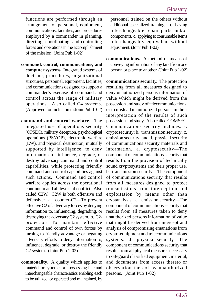functions are performed through an arrangement of personnel, equipment, communications, facilities, and procedures employed by a commander in planning, directing, coordinating, and controlling forces and operations in the accomplishment of the mission. (Joint Pub 1-02)

- **command, control, communications, and computer systems.** Integrated systems of doctrine, procedures, organizational structures, personnel, equipment, facilities, and communications designed to support a commander's exercise of command and control across the range of military operations. Also called C4 systems. (Approved for inclusion in Joint Pub 1-02)
- **command and control warfare.** The integrated use of operations security (OPSEC), military deception, psychological operations (PSYOP), electronic warfare (EW), and physical destruction, mutually supported by intelligence, to deny information to, influence, degrade, or destroy adversary command and control capabilities, while protecting friendly command and control capabilities against such actions. Command and control warfare applies across the operational continuum and all levels of conflict. Also called C2W. C2W is both offensive and defensive: a. counter-C2—To prevent effective C2 of adversary forces by denying information to, influencing, degrading, or destroying the adversary C2 system. b. C2 protection—To maintain effective command and control of own forces by turning to friendly advantage or negating adversary efforts to deny information to, influence, degrade, or destroy the friendly C2 system. (Joint Pub 1-02)
- **commonality.** A quality which applies to materiel or systems: a. possessing like and interchangeable characteristics enabling each to be utilized, or operated and maintained, by

personnel trained on the others without additional specialized training. b. having interchangeable repair parts and/or components. c. applying to consumable items interchangeably equivalent without adjustment. (Joint Pub 1-02)

**communications.** A method or means of conveying information of any kind from one person or place to another. (Joint Pub 1-02)

**communications security.** The protection resulting from all measures designed to deny unauthorized persons information of value which might be derived from the possession and study of telecommunications, or to mislead unauthorized persons in their interpretation of the results of such possession and study. Also called COMSEC. Communications security includes: a. cryptosecurity; b. transmission security; c. emission security; and d. physical security of communications security materials and information. a. cryptosecurity—The component of communications security that results from the provision of technically sound cryptosystems and their proper use. b. transmission security—The component of communications security that results from all measures designed to protect transmissions from interception and exploitation by means other than cryptanalysis. c. emission security—The component of communications security that results from all measures taken to deny unauthorized persons information of value that might be derived from intercept and analysis of compromising emanations from crypto-equipment and telecommunications systems. d. physical security—The component of communications security that results from all physical measures necessary to safeguard classified equipment, material, and documents from access thereto or observation thereof by unauthorized persons. (Joint Pub 1-02)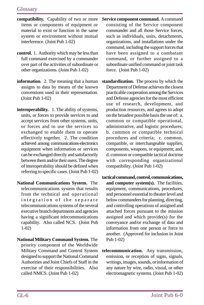- **compatibility.** Capability of two or more items or components of equipment or material to exist or function in the same system or environment without mutual interference. (Joint Pub 1-02)
- **control.** 1. Authority which may be less than full command exercised by a commander over part of the activities of subordinate or other organizations. (Joint Pub 1-02)
- **information**. 2. The meaning that a human assigns to data by means of the known conventions used in their representation. (Joint Pub 1-02)
- **interoperability.** 1. The ability of systems, units, or forces to provide services to and accept services from other systems, units, or forces and to use the services so exchanged to enable them to operate effectively together. 2. The condition achieved among communications-electronics equipment when information or services can be exchanged directly and satisfactorily between them and/or their users. The degree of interoperability should be defined when referring to specific cases. (Joint Pub 1-02)
- **National Communications System.** The telecommunications system that results from the technical and operational integration of the separate telecommunications systems of the several executive branch departments and agencies having a significant telecommunications capability. Also called NCS. (Joint Pub 1-02)
- **National Military Command System.** The priority component of the Worldwide Military Command and Control System designed to support the National Command Authorities and Joint Chiefs of Staff in the exercise of their responsibilities. Also called NMCS. (Joint Pub 1-02)
- **Service component command.** A command consisting of the Service component commander and all those Service forces, such as individuals, units, detachments, organizations, and installations under the command, including the support forces that have been assigned to a combatant command, or further assigned to a subordinate unified command or joint task force. (Joint Pub 1-02)
- **standardization.** The process by which the Department of Defense achieves the closest practicable cooperation among the Services and Defense agencies for the most efficient use of research, development, and production resources, and agrees to adopt on the broadest possible basis the use of: a. common or compatible operational, administrative, and logistic procedures; b. common or compatible technical procedures and criteria; c. common, compatible, or interchangeable supplies, components, weapons, or equipment; and, d. common or compatible tactical doctrine with corresponding organizational compatibility. (Joint Pub 1-02)
- **tactical command, control, communications, and computer system(s).** The facilities, equipment, communications, procedures, and personnel essential to theater level and below commanders for planning, directing, and controlling operations of assigned and attached forces pursuant to the mission assigned and which provide(s) for the conveyance and/or exchange of data and information from one person or force to another. (Approved for inclusion in Joint Pub 1-02)
- **telecommunication.** Any transmission, emission, or reception of signs, signals, writings, images, sounds, or information of any nature by wire, radio, visual, or other electromagnetic systems. (Joint Pub 1-02)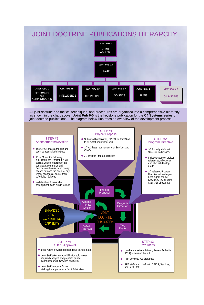